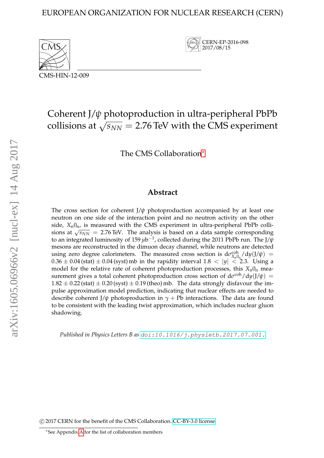## EUROPEAN ORGANIZATION FOR NUCLEAR RESEARCH (CERN)





# Coherent J/*ψ* photoproduction in ultra-peripheral PbPb  $\frac{1}{\sqrt{9N}}$   $\frac{1}{\sqrt{5N}}$  = 2.76 TeV with the CMS experiment

The CMS Collaboration[∗](#page-0-0)

## **Abstract**

The cross section for coherent J/*ψ* photoproduction accompanied by at least one neutron on one side of the interaction point and no neutron activity on the other side,  $X_n 0_n$ , is measured with the CMS experiment in ultra-peripheral PbPb colliside,  $\Delta_{\rm n}$ , is measured with the CM3 experiment in unta-peripheral 1 b to com-<br>sions at  $\sqrt{s_{NN}}$  = 2.76 TeV. The analysis is based on a data sample corresponding to an integrated luminosity of 159 μb<sup>−1</sup>, collected during the 2011 PbPb run. The J/ψ mesons are reconstructed in the dimuon decay channel, while neutrons are detected using zero degree calorimeters. The measured cross section is  $d\sigma_{X_n0_n}^{\text{coh}}/dy(J/\psi)$  =  $0.36 \pm 0.04$  (stat)  $\pm 0.04$  (syst) mb in the rapidity interval  $1.8 < |y| < 2.3$ . Using a model for the relative rate of coherent photoproduction processes, this  $X_n \mathbf{0}_n$  measurement gives a total coherent photoproduction cross section of dσ<sup>coh</sup>/dy(J/ψ) =  $1.82 \pm 0.22$  (stat)  $\pm 0.20$  (syst)  $\pm 0.19$  (theo) mb. The data strongly disfavour the impulse approximation model prediction, indicating that nuclear effects are needed to describe coherent J/ $\psi$  photoproduction in  $\gamma$  + Pb interactions. The data are found to be consistent with the leading twist approximation, which includes nuclear gluon shadowing.

*Published in Physics Letters B as* [doi:10.1016/j.physletb.2017.07.001.](http://dx.doi.org/10.1016/j.physletb.2017.07.001)

c 2017 CERN for the benefit of the CMS Collaboration. [CC-BY-3.0 license](http://creativecommons.org/licenses/by/3.0)

<span id="page-0-0"></span><sup>∗</sup>See Appendix [A](#page-18-0) for the list of collaboration members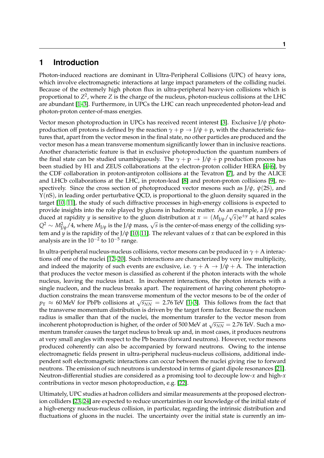## <span id="page-2-0"></span>**1 Introduction**

Photon-induced reactions are dominant in Ultra-Peripheral Collisions (UPC) of heavy ions, which involve electromagnetic interactions at large impact parameters of the colliding nuclei. Because of the extremely high photon flux in ultra-peripheral heavy-ion collisions which is proportional to  $Z^2$ , where  $Z$  is the charge of the nucleus, photon-nucleus collisions at the LHC are abundant [\[1](#page-13-0)[–3\]](#page-13-1). Furthermore, in UPCs the LHC can reach unprecedented photon-lead and photon-proton center-of-mass energies.

Vector meson photoproduction in UPCs has received recent interest [\[3\]](#page-13-1). Exclusive J/*ψ* photoproduction off protons is defined by the reaction  $\gamma + p \rightarrow J/\psi + p$ , with the characteristic features that, apart from the vector meson in the final state, no other particles are produced and the vector meson has a mean transverse momentum significantly lower than in inclusive reactions. Another characteristic feature is that in exclusive photoproduction the quantum numbers of the final state can be studied unambiguously. The  $\gamma + p \rightarrow J/\psi + p$  production process has been studied by H1 and ZEUS collaborations at the electron-proton collider HERA [\[4](#page-13-2)[–6\]](#page-13-3), by the CDF collaboration in proton-antiproton collisions at the Tevatron [\[7\]](#page-14-0), and by the ALICE and LHCb collaborations at the LHC, in proton-lead [\[8\]](#page-14-1) and proton-proton collisions [\[9\]](#page-14-2), respectively. Since the cross section of photoproduced vector mesons such as J/*ψ*, *ψ*(2S), and Υ(nS), in leading order perturbative QCD, is proportional to the gluon density squared in the target [\[10,](#page-14-3) [11\]](#page-14-4), the study of such diffractive processes in high-energy collisions is expected to provide insights into the role played by gluons in hadronic matter. As an example, a J/*ψ* pro-√ duced at rapidity *y* is sensitive to the gluon distribution at  $x = (M_{J/\psi}/\sqrt{s})e^{\pm y}$  at hard scales *Q*<sup>2</sup> ∼ *M*<sub>J/*ψ*</sub>/4, where *M*<sub>J/*ψ*</sub> is the J/*ψ* mass, √*s* is the center-of-mass energy of the colliding system and *y* is the rapidity of the J/ $\psi$  [\[10,](#page-14-3) [11\]](#page-14-4). The relevant values of *x* that can be explored in this analysis are in the  $10^{-2}$  to  $10^{-5}$  range.

In ultra-peripheral nucleus-nucleus collisions, vector mesons can be produced in  $\gamma + A$  interactions off one of the nuclei [\[12](#page-14-5)[–20\]](#page-14-6). Such interactions are characterized by very low multiplicity, and indeed the majority of such events are exclusive, i.e.  $\gamma + A \rightarrow J/\psi + A$ . The interaction that produces the vector meson is classified as coherent if the photon interacts with the whole nucleus, leaving the nucleus intact. In incoherent interactions, the photon interacts with a single nucleon, and the nucleus breaks apart. The requirement of having coherent photoproduction constrains the mean transverse momentum of the vector mesons to be of the order of  $p_T \approx 60$  MeV for PbPb collisions at  $\sqrt{s_{NN}} = 2.76$  TeV [\[1](#page-13-0)[–3\]](#page-13-1). This follows from the fact that the transverse momentum distribution is driven by the target form factor. Because the nucleon radius is smaller than that of the nuclei, the momentum transfer to the vector meson from  $\frac{1}{100}$  and  $\frac{1}{100}$  and  $\frac{1}{100}$  are included, the momentum transfer to the vector meson from incoherent photoproduction is higher, of the order of 500 MeV at  $\sqrt{s_{NN}} = 2.76$  TeV. Such a momentum transfer causes the target nucleus to break up and, in most cases, it produces neutrons at very small angles with respect to the Pb beams (forward neutrons). However, vector mesons produced coherently can also be accompanied by forward neutrons. Owing to the intense electromagnetic fields present in ultra-peripheral nucleus-nucleus collisions, additional independent soft electromagnetic interactions can occur between the nuclei giving rise to forward neutrons. The emission of such neutrons is understood in terms of giant dipole resonances [\[21\]](#page-15-0). Neutron-differential studies are considered as a promising tool to decouple low-*x* and high-*x* contributions in vector meson photoproduction, e.g. [\[22\]](#page-15-1).

Ultimately, UPC studies at hadron colliders and similar measurements at the proposed electronion colliders [\[23,](#page-15-2) [24\]](#page-15-3) are expected to reduce uncertainties in our knowledge of the initial state of a high-energy nucleus-nucleus collision, in particular, regarding the intrinsic distribution and fluctuations of gluons in the nuclei. The uncertainty over the initial state is currently an im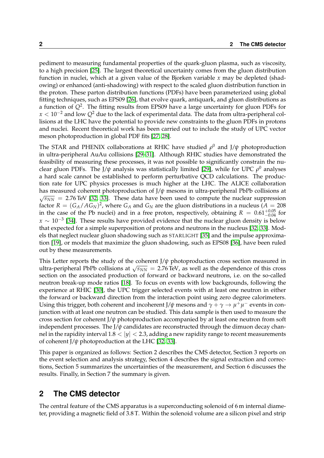pediment to measuring fundamental properties of the quark-gluon plasma, such as viscosity, to a high precision [\[25\]](#page-15-4). The largest theoretical uncertainty comes from the gluon distribution function in nuclei, which at a given value of the Bjorken variable *x* may be depleted (shadowing) or enhanced (anti-shadowing) with respect to the scaled gluon distribution function in the proton. These parton distribution functions (PDFs) have been parameterized using global fitting techniques, such as EPS09 [\[26\]](#page-15-5), that evolve quark, antiquark, and gluon distributions as a function of *Q*<sup>2</sup> . The fitting results from EPS09 have a large uncertainty for gluon PDFs for *x* < 10−<sup>2</sup> and low *Q*<sup>2</sup> due to the lack of experimental data. The data from ultra-peripheral collisions at the LHC have the potential to provide new constraints to the gluon PDFs in protons and nuclei. Recent theoretical work has been carried out to include the study of UPC vector meson photoproduction in global PDF fits [\[27,](#page-15-6) [28\]](#page-15-7).

The STAR and PHENIX collaborations at RHIC have studied *ρ* <sup>0</sup> and J/*ψ* photoproduction in ultra-peripheral AuAu collisions [\[29](#page-15-8)[–31\]](#page-15-9). Although RHIC studies have demonstrated the feasibility of measuring these processes, it was not possible to significantly constrain the nuclear gluon PDFs. The J/ $\psi$  analysis was statistically limited [\[29\]](#page-15-8), while for UPC  $\rho^0$  analyses a hard scale cannot be established to perform perturbative QCD calculations. The production rate for UPC physics processes is much higher at the LHC. The ALICE collaboration has measured coherent photoproduction of J/*ψ* mesons in ultra-peripheral PbPb collisions at √  $\sqrt{s_{NN}}$  = 2.76 TeV [\[32,](#page-15-10) [33\]](#page-15-11). These data have been used to compute the nuclear suppression factor  $R = (G_A / AG_N)^2$ , where  $G_A$  and  $G_N$  are the gluon distributions in a nucleus ( $A = 208$ in the case of the Pb nuclei) and in a free proton, respectively, obtaining  $R = 0.61^{+0.05}_{-0.04}$  for  $x \sim 10^{-3}$  [\[34\]](#page-15-12). These results have provided evidence that the nuclear gluon density is below that expected for a simple superposition of protons and neutrons in the nucleus [\[32,](#page-15-10) [33\]](#page-15-11). Models that neglect nuclear gluon shadowing such as STARLIGHT [\[35\]](#page-16-0) and the impulse approximation [\[19\]](#page-14-7), or models that maximize the gluon shadowing, such as EPS08 [\[36\]](#page-16-1), have been ruled out by these measurements.

This Letter reports the study of the coherent J/*ψ* photoproduction cross section measured in This Letter reports the study of the contenent  $j/\psi$  photoproduction cross section measured in ultra-peripheral PbPb collisions at  $\sqrt{s_{NN}}$  = 2.76 TeV, as well as the dependence of this cross section on the associated production of forward or backward neutrons, i.e. on the so-called neutron break-up mode ratios [\[18\]](#page-14-8). To focus on events with low backgrounds, following the experience at RHIC [\[30\]](#page-15-13), the UPC trigger selected events with at least one neutron in either the forward or backward direction from the interaction point using zero degree calorimeters. Using this trigger, both coherent and incoherent J/ $\psi$  mesons and  $\gamma + \gamma \to \mu^+ \mu^-$  events in conjunction with at least one neutron can be studied. This data sample is then used to measure the cross section for coherent J/*ψ* photoproduction accompanied by at least one neutron from soft independent processes. The J/*ψ* candidates are reconstructed through the dimuon decay channel in the rapidity interval  $1.8 < |y| < 2.3$ , adding a new rapidity range to recent measurements of coherent J/*ψ* photoproduction at the LHC [\[32,](#page-15-10) [33\]](#page-15-11).

This paper is organized as follows: Section 2 describes the CMS detector, Section 3 reports on the event selection and analysis strategy, Section 4 describes the signal extraction and corrections, Section 5 summarizes the uncertainties of the measurement, and Section 6 discusses the results. Finally, in Section 7 the summary is given.

## **2 The CMS detector**

The central feature of the CMS apparatus is a superconducting solenoid of 6 m internal diameter, providing a magnetic field of 3.8 T. Within the solenoid volume are a silicon pixel and strip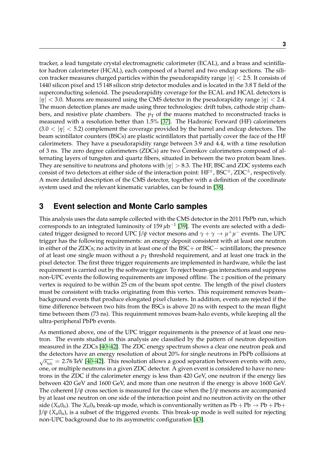tracker, a lead tungstate crystal electromagnetic calorimeter (ECAL), and a brass and scintillator hadron calorimeter (HCAL), each composed of a barrel and two endcap sections. The silicon tracker measures charged particles within the pseudorapidity range |*η*| < 2.5. It consists of 1440 silicon pixel and 15 148 silicon strip detector modules and is located in the 3.8 T field of the superconducting solenoid. The pseudorapidity coverage for the ECAL and HCAL detectors is |*η*| < 3.0. Muons are measured using the CMS detector in the pseudorapidity range |*η*| < 2.4. The muon detection planes are made using three technologies: drift tubes, cathode strip chambers, and resistive plate chambers. The  $p<sub>T</sub>$  of the muons matched to reconstructed tracks is measured with a resolution better than 1.5% [\[37\]](#page-16-2). The Hadronic Forward (HF) calorimeters  $(3.0 < |\eta| < 5.2)$  complement the coverage provided by the barrel and endcap detectors. The beam scintillator counters (BSCs) are plastic scintillators that partially cover the face of the HF calorimeters. They have a pseudorapidity range between 3.9 and 4.4, with a time resolution of 3 ns. The zero degree calorimeters (ZDCs) are two Cerenkov calorimeters composed of alternating layers of tungsten and quartz fibers, situated in between the two proton beam lines. They are sensitive to neutrons and photons with |*η*| > 8.3. The HF, BSC and ZDC systems each consist of two detectors at either side of the interaction point:  $HF^{\pm}$ , BSC<sup> $\pm$ </sup>, ZDC<sup> $\pm$ </sup>, respectively. A more detailed description of the CMS detector, together with a definition of the coordinate system used and the relevant kinematic variables, can be found in [\[38\]](#page-16-3).

## <span id="page-4-0"></span>**3 Event selection and Monte Carlo samples**

This analysis uses the data sample collected with the CMS detector in the 2011 PbPb run, which corresponds to an integrated luminosity of  $159 \mu b^{-1}$  [\[39\]](#page-16-4). The events are selected with a dedicated trigger designed to record UPC J/ $\psi$  vector mesons and  $\gamma + \gamma \rightarrow \mu^+ \mu^-$  events. The UPC trigger has the following requirements: an energy deposit consistent with at least one neutron in either of the ZDCs; no activity in at least one of the BSC+ or BSC− scintillators; the presence of at least one single muon without a  $p<sub>T</sub>$  threshold requirement, and at least one track in the pixel detector. The first three trigger requirements are implemented in hardware, while the last requirement is carried out by the software trigger. To reject beam-gas interactions and suppress non-UPC events the following requirements are imposed offline. The *z* position of the primary vertex is required to be within 25 cm of the beam spot centre. The length of the pixel clusters must be consistent with tracks originating from this vertex. This requirement removes beam– background events that produce elongated pixel clusters. In addition, events are rejected if the time difference between two hits from the BSCs is above 20 ns with respect to the mean flight time between them (73 ns). This requirement removes beam-halo events, while keeping all the ultra-peripheral PbPb events.

As mentioned above, one of the UPC trigger requirements is the presence of at least one neutron. The events studied in this analysis are classified by the pattern of neutron deposition measured in the ZDCs [\[40–](#page-16-5)[42\]](#page-16-6). The ZDC energy spectrum shows a clear one neutron peak and the detectors have an energy resolution of about 20% for single neutrons in PbPb collisions at  $\sqrt{s_{_{NN}}}$  = 2.76 TeV [\[40](#page-16-5)[–42\]](#page-16-6). This resolution allows a good separation between events with zero, one, or multiple neutrons in a given ZDC detector. A given event is considered to have no neutrons in the ZDC if the calorimeter energy is less than 420 GeV, one neutron if the energy lies between 420 GeV and 1600 GeV, and more than one neutron if the energy is above 1600 GeV. The coherent  $J/\psi$  cross section is measured for the case when the  $J/\psi$  mesons are accompanied by at least one neutron on one side of the interaction point and no neutron activity on the other side  $(X_n 0_n)$ . The  $X_n 0_n$  break-up mode, which is conventionally written as Pb + Pb  $\rightarrow$  Pb + Pb +  $J/\psi$  ( $X_n0_n$ ), is a subset of the triggered events. This break-up mode is well suited for rejecting non-UPC background due to its asymmetric configuration [\[43\]](#page-16-7).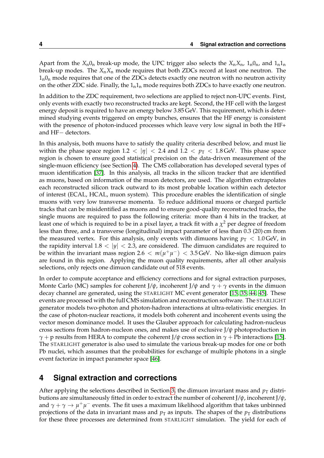Apart from the  $X_n0_n$  break-up mode, the UPC trigger also selects the  $X_nX_n$ ,  $1_n0_n$ , and  $1_n1_n$ break-up modes. The  $X_nX_n$  mode requires that both ZDCs record at least one neutron. The  $1_n0_n$  mode requires that one of the ZDCs detects exactly one neutron with no neutron activity on the other ZDC side. Finally, the  $1_n1_n$  mode requires both ZDCs to have exactly one neutron.

In addition to the ZDC requirement, two selections are applied to reject non-UPC events. First, only events with exactly two reconstructed tracks are kept. Second, the HF cell with the largest energy deposit is required to have an energy below 3.85 GeV. This requirement, which is determined studying events triggered on empty bunches, ensures that the HF energy is consistent with the presence of photon-induced processes which leave very low signal in both the HF+ and HF− detectors.

In this analysis, both muons have to satisfy the quality criteria described below, and must lie within the phase space region  $1.2 < |\eta| < 2.4$  and  $1.2 < p_T < 1.8$  GeV. This phase space region is chosen to ensure good statistical precision on the data-driven measurement of the single-muon efficiency (see Section [4\)](#page-5-0). The CMS collaboration has developed several types of muon identification [\[37\]](#page-16-2). In this analysis, all tracks in the silicon tracker that are identified as muons, based on information of the muon detectors, are used. The algorithm extrapolates each reconstructed silicon track outward to its most probable location within each detector of interest (ECAL, HCAL, muon system). This procedure enables the identification of single muons with very low transverse momenta. To reduce additional muons or charged particle tracks that can be misidentified as muons and to ensure good-quality reconstructed tracks, the single muons are required to pass the following criteria: more than 4 hits in the tracker, at least one of which is required to be in a pixel layer, a track fit with a  $\chi^2$  per degree of freedom less than three, and a transverse (longitudinal) impact parameter of less than 0.3 (20) cm from the measured vertex. For this analysis, only events with dimuons having  $p_T < 1.0$  GeV, in the rapidity interval  $1.8 < |y| < 2.3$ , are considered. The dimuon candidates are required to be within the invariant mass region 2.6  $< m(\mu^+\mu^-) < 3.5\,\text{GeV}$ . No like-sign dimuon pairs are found in this region. Applying the muon quality requirements, after all other analysis selections, only rejects one dimuon candidate out of 518 events.

In order to compute acceptance and efficiency corrections and for signal extraction purposes, Monte Carlo (MC) samples for coherent J/ $\psi$ , incoherent J/ $\psi$  and  $\gamma + \gamma$  events in the dimuon decay channel are generated, using the STARLIGHT MC event generator [\[15,](#page-14-9) [35,](#page-16-0) [44,](#page-16-8) [45\]](#page-16-9). These events are processed with the full CMS simulation and reconstruction software. The STARLIGHT generator models two-photon and photon-hadron interactions at ultra-relativistic energies. In the case of photon-nuclear reactions, it models both coherent and incoherent events using the vector meson dominance model. It uses the Glauber approach for calculating hadron-nucleus cross sections from hadron-nucleon ones, and makes use of exclusive J/*ψ* photoproduction in *γ* + p results from HERA to compute the coherent J/*ψ* cross section in *γ* + Pb interactions [\[15\]](#page-14-9). The STARLIGHT generator is also used to simulate the various break-up modes for one or both Pb nuclei, which assumes that the probabilities for exchange of multiple photons in a single event factorize in impact parameter space [\[46\]](#page-16-10).

## <span id="page-5-0"></span>**4 Signal extraction and corrections**

After applying the selections described in Section [3,](#page-4-0) the dimuon invariant mass and  $p<sub>T</sub>$  distributions are simultaneously fitted in order to extract the number of coherent J/*ψ*, incoherent J/*ψ*, and  $\gamma + \gamma \rightarrow \mu^+ \mu^-$  events. The fit uses a maximum likelihood algorithm that takes unbinned projections of the data in invariant mass and  $p<sub>T</sub>$  as inputs. The shapes of the  $p<sub>T</sub>$  distributions for these three processes are determined from STARLIGHT simulation. The yield for each of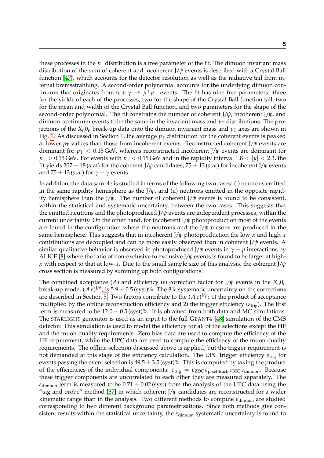these processes in the  $p<sub>T</sub>$  distribution is a free parameter of the fit. The dimuon invariant mass distribution of the sum of coherent and incoherent J/*ψ* events is described with a Crystal Ball function [\[47\]](#page-16-11), which accounts for the detector resolution as well as the radiative tail from internal bremsstrahlung. A second-order polynomial accounts for the underlying dimuon continuum that originates from  $\gamma + \gamma \rightarrow \mu^+ \mu^-$  events. The fit has nine free parameters: three for the yields of each of the processes, two for the shape of the Crystal Ball function tail, two for the mean and width of the Crystal Ball function, and two parameters for the shape of the second-order polynomial. The fit constrains the number of coherent J/*ψ*, incoherent J/*ψ*, and dimuon continuum events to be the same in the invariant mass and  $p<sub>T</sub>$  distributions. The projections of the  $X_n$ <sup>0</sup><sub>n</sub> break-up data onto the dimuon invariant mass and  $p_T$  axes are shown in Fig. [1.](#page-7-0) As discussed in Section 1, the average  $p<sub>T</sub>$  distribution for the coherent events is peaked at lower  $p<sub>T</sub>$  values than those from incoherent events. Reconstructed coherent  $J/\psi$  events are dominant for  $p_T < 0.15$  GeV, whereas reconstructed incoherent J/ $\psi$  events are dominant for  $p_T > 0.15$  GeV. For events with  $p_T < 0.15$  GeV and in the rapidity interval 1.8  $\lt |y| < 2.3$ , the fit yields  $207 \pm 18$  (stat) for the coherent J/ $\psi$  candidates,  $75 \pm 13$  (stat) for incoherent J/ $\psi$  events and  $75 \pm 13$  (stat) for  $\gamma + \gamma$  events.

In addition, the data sample is studied in terms of the following two cases: (i) neutrons emitted in the same rapidity hemisphere as the  $J/\psi$ , and (ii) neutrons emitted in the opposite rapidity hemisphere than the  $J/\psi$ . The number of coherent  $J/\psi$  events is found to be consistent, within the statistical and systematic uncertainty, between the two cases. This suggests that the emitted neutrons and the photoproduced J/*ψ* events are independent processes, within the current uncertainty. On the other hand, for incoherent J/*ψ* photoproduction most of the events are found in the configuration where the neutrons and the J/*ψ* mesons are produced in the same hemisphere. This suggests that in incoherent J/*ψ* photoproduction the low-*x* and high-*x* contributions are decoupled and can be more easily observed than in coherent J/*ψ* events. A similar qualitative behavior is observed in photoproduced J/ $\psi$  events in  $\gamma + p$  interactions by ALICE [\[8\]](#page-14-1) where the ratio of non-exclusive to exclusive  $J/\psi$  events is found to be larger at high*x* with respect to that at low-*x*. Due to the small sample size of this analysis, the coherent J/*ψ* cross section is measured by summing up both configurations.

The combined acceptance (*A*) and efficiency (*ε*) correction factor for  $J/\psi$  events in the  $X_n 0_n$ break-up mode,  $(A \,\varepsilon)^{J/\psi}$ , is 5.9  $\pm$  0.5 (syst)%. The 8% systematic uncertainty on the corrections are described in Section [5.](#page-8-0) Two factors contribute to the  $(A \epsilon)^{J/\psi}$ : 1) the product of acceptance multiplied by the offline reconstruction efficiency and 2) the trigger efficiency ( $\varepsilon_{\text{trig}}$ ). The first term is measured to be  $12.0 \pm 0.5$  (syst)%. It is obtained from both data and MC simulations. The STARLIGHT generator is used as an input to the full GEANT4 [\[48\]](#page-16-12) simulation of the CMS detector. This simulation is used to model the efficiency for all of the selections except the HF and the muon quality requirements. Zero bias data are used to compute the efficiency of the HF requirement, while the UPC data are used to compute the efficiency of the muon quality requirements. The offline selection discussed above is applied, but the trigger requirement is not demanded at this stage of the efficiency calculation. The UPC trigger efficiency *ε*trig for events passing the event selection is  $49.5 \pm 3.5$  (syst)%. This is computed by taking the product of the efficiencies of the individual components:  $\varepsilon_{\text{trig}} = \varepsilon_{\text{ZDC}} \varepsilon_{\text{pixel-track}} \varepsilon_{\text{BSC}} \varepsilon_{\text{dimum}}$ . Because these trigger components are uncorrelated to each other they are measured separately. The  $\varepsilon$ <sub>dimuon</sub> term is measured to be  $0.71 \pm 0.02$  (syst) from the analysis of the UPC data using the "tag-and-probe" method [\[37\]](#page-16-2) in which coherent  $J/\psi$  candidates are reconstructed for a wider kinematic range than in the analysis. Two different methods to compute  $\varepsilon_{\text{dimuon}}$  are studied corresponding to two different background parametrizations. Since both methods give consistent results within the statistical uncertainty, the *ε*<sub>dimuon</sub> systematic uncertainty is found to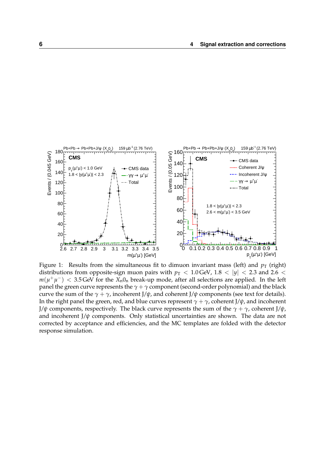<span id="page-7-0"></span>

Figure 1: Results from the simultaneous fit to dimuon invariant mass (left) and  $p<sub>T</sub>$  (right) distributions from opposite-sign muon pairs with  $p_T < 1.0$  GeV,  $1.8 < |y| < 2.3$  and  $2.6 <$  $m(\mu^+\mu^-)$  < 3.5 GeV for the  $X_n0_n$  break-up mode, after all selections are applied. In the left panel the green curve represents the  $\gamma + \gamma$  component (second-order polynomial) and the black curve the sum of the  $\gamma + \gamma$ , incoherent J/ $\psi$ , and coherent J/ $\psi$  components (see text for details). In the right panel the green, red, and blue curves represent  $\gamma + \gamma$ , coherent  $J/\psi$ , and incoherent J/*ψ* components, respectively. The black curve represents the sum of the *γ* + *γ*, coherent J/*ψ*, and incoherent J/*ψ* components. Only statistical uncertainties are shown. The data are not corrected by acceptance and efficiencies, and the MC templates are folded with the detector response simulation.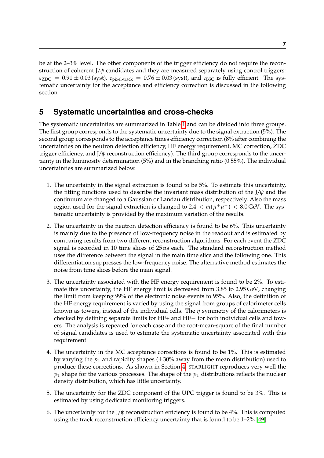be at the 2–3% level. The other components of the trigger efficiency do not require the reconstruction of coherent  $J/\psi$  candidates and they are measured separately using control triggers:  $\varepsilon_{ZDC}$  = 0.91  $\pm$  0.03 (syst),  $\varepsilon_{pixel\text{-}track}$  = 0.76  $\pm$  0.03 (syst), and  $\varepsilon_{BSC}$  is fully efficient. The systematic uncertainty for the acceptance and efficiency correction is discussed in the following section.

## <span id="page-8-0"></span>**5 Systematic uncertainties and cross-checks**

The systematic uncertainties are summarized in Table [1](#page-9-0) and can be divided into three groups. The first group corresponds to the systematic uncertainty due to the signal extraction (5%). The second group corresponds to the acceptance times efficiency correction (8% after combining the uncertainties on the neutron detection efficiency, HF energy requirement, MC correction, ZDC trigger efficiency, and J/*ψ* reconstruction efficiency). The third group corresponds to the uncertainty in the luminosity determination (5%) and in the branching ratio (0.55%). The individual uncertainties are summarized below.

- 1. The uncertainty in the signal extraction is found to be 5%. To estimate this uncertainty, the fitting functions used to describe the invariant mass distribution of the J/*ψ* and the continuum are changed to a Gaussian or Landau distribution, respectively. Also the mass region used for the signal extraction is changed to 2.4  $< m(\mu^+\mu^-) < 8.0$  GeV. The systematic uncertainty is provided by the maximum variation of the results.
- 2. The uncertainty in the neutron detection efficiency is found to be 6%. This uncertainty is mainly due to the presence of low-frequency noise in the readout and is estimated by comparing results from two different reconstruction algorithms. For each event the ZDC signal is recorded in 10 time slices of 25 ns each. The standard reconstruction method uses the difference between the signal in the main time slice and the following one. This differentiation suppresses the low-frequency noise. The alternative method estimates the noise from time slices before the main signal.
- 3. The uncertainty associated with the HF energy requirement is found to be 2%. To estimate this uncertainty, the HF energy limit is decreased from 3.85 to 2.95 GeV, changing the limit from keeping 99% of the electronic noise events to 95%. Also, the definition of the HF energy requirement is varied by using the signal from groups of calorimeter cells known as towers, instead of the individual cells. The *η* symmetry of the calorimeters is checked by defining separate limits for HF+ and HF− for both individual cells and towers. The analysis is repeated for each case and the root-mean-square of the final number of signal candidates is used to estimate the systematic uncertainty associated with this requirement.
- 4. The uncertainty in the MC acceptance corrections is found to be 1%. This is estimated by varying the  $p<sub>T</sub>$  and rapidity shapes ( $\pm 30\%$  away from the mean distribution) used to produce these corrections. As shown in Section [4,](#page-5-0) STARLIGHT reproduces very well the  $p<sub>T</sub>$  shape for the various processes. The shape of the  $p<sub>T</sub>$  distributions reflects the nuclear density distribution, which has little uncertainty.
- 5. The uncertainty for the ZDC component of the UPC trigger is found to be 3%. This is estimated by using dedicated monitoring triggers.
- 6. The uncertainty for the  $J/\psi$  reconstruction efficiency is found to be 4%. This is computed using the track reconstruction efficiency uncertainty that is found to be 1–2% [\[49\]](#page-16-13).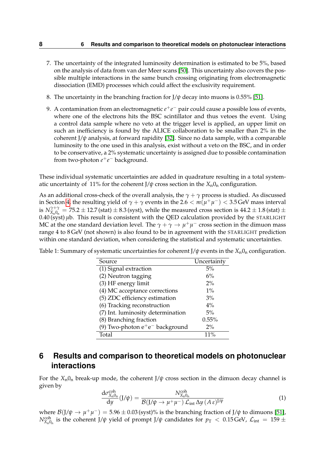- 7. The uncertainty of the integrated luminosity determination is estimated to be 5%, based on the analysis of data from van der Meer scans [\[50\]](#page-16-14). This uncertainty also covers the possible multiple interactions in the same bunch crossing originating from electromagnetic dissociation (EMD) processes which could affect the exclusivity requirement.
- 8. The uncertainty in the branching fraction for J/*ψ* decay into muons is 0.55% [\[51\]](#page-17-0).
- 9. A contamination from an electromagnetic *e* +*e* <sup>−</sup> pair could cause a possible loss of events, where one of the electrons hits the BSC scintillator and thus vetoes the event. Using a control data sample where no veto at the trigger level is applied, an upper limit on such an inefficiency is found by the ALICE collaboration to be smaller than 2% in the coherent J/*ψ* analysis, at forward rapidity [\[32\]](#page-15-10). Since no data sample, with a comparable luminosity to the one used in this analysis, exist without a veto on the BSC, and in order to be conservative, a 2% systematic uncertainty is assigned due to possible contamination from two-photon  $e^+e^-$  background.

These individual systematic uncertainties are added in quadrature resulting in a total systematic uncertainty of 11% for the coherent  $J/\psi$  cross section in the  $X_n 0_n$  configuration.

As an additional cross-check of the overall analysis, the  $\gamma + \gamma$  process is studied. As discussed in Section [4,](#page-5-0) the resulting yield of  $\gamma+\gamma$  events in the 2.6  $< m (\mu^+\mu^-) <$  3.5 GeV mass interval is  $N^{\gamma+\gamma}_{X_n 0_n}$  $X_{\text{n,0n}}^{\gamma+\gamma} = 75.2 \pm 12.7 \text{ (stat)} \pm 8.3 \text{ (syst)}$ , while the measured cross section is  $44.2 \pm 1.8 \text{ (stat)} \pm 1.2 \text{ (stat)}$  $0.40$  (syst)  $\mu$ b. This result is consistent with the QED calculation provided by the STARLIGHT MC at the one standard deviation level. The  $\gamma + \gamma \rightarrow \mu^+ \mu^-$  cross section in the dimuon mass range 4 to 8 GeV (not shown) is also found to be in agreement with the STARLIGHT prediction within one standard deviation, when considering the statistical and systematic uncertainties.

| Source                             | Uncertainty |
|------------------------------------|-------------|
| (1) Signal extraction              | 5%          |
| (2) Neutron tagging                | 6%          |
| (3) HF energy limit                | $2\%$       |
| (4) MC acceptance corrections      | $1\%$       |
| (5) ZDC efficiency estimation      | $3\%$       |
| (6) Tracking reconstruction        | $4\%$       |
| (7) Int. luminosity determination  | $5\%$       |
| (8) Branching fraction             | 0.55%       |
| (9) Two-photon $e^+e^-$ background | $2\%$       |
| Total                              | 11%         |

<span id="page-9-0"></span>Table 1: Summary of systematic uncertainties for coherent  $J/\psi$  events in the  $X_n0_n$  configuration.

## **6 Results and comparison to theoretical models on photonuclear interactions**

For the  $X_n$ <sup>0</sup><sub>n</sub> break-up mode, the coherent  $J/\psi$  cross section in the dimuon decay channel is given by

$$
\frac{\mathrm{d}\sigma_{X_n 0_n}^{\text{coh}}}{\mathrm{d}y}(J/\psi) = \frac{N_{X_n 0_n}^{\text{coh}}}{\mathcal{B}(J/\psi \to \mu^+ \mu^-)} \mathcal{L}_{\text{int}} \Delta y \, (A \, \varepsilon)^{J/\psi} \tag{1}
$$

where  $\mathcal{B}(J/\psi \to \mu^+\mu^-) = 5.96 \pm 0.03$  (syst)% is the branching fraction of J/ $\psi$  to dimuons [\[51\]](#page-17-0),  $N^{\rm coh}_{X_n0_n}$  is the coherent J/ $\psi$  yield of prompt J/ $\psi$  candidates for  $p_{\rm T}$   $<\,$  0.15 GeV,  $\mathcal{L}_{\rm int}$   $=\,159\pm8$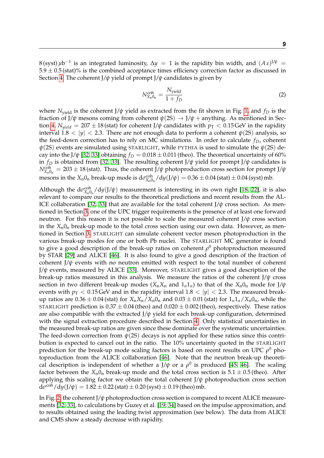8(syst)  $\mu$ b<sup>-1</sup> is an integrated luminosity,  $\Delta y = 1$  is the rapidity bin width, and  $(A ε)^{J/\psi} =$  $5.9 \pm 0.5$  (stat)% is the combined acceptance times efficiency correction factor as discussed in Section [4.](#page-5-0) The coherent J/*ψ* yield of prompt J/*ψ* candidates is given by

$$
N_{X_n0_n}^{\text{coh}} = \frac{N_{\text{yield}}}{1 + f_D} \tag{2}
$$

where  $N_{\text{yield}}$  is the coherent  $J/\psi$  yield as extracted from the fit shown in Fig. [1,](#page-7-0) and  $f_D$  is the fraction of J/ $\psi$  mesons coming from coherent  $\psi(2S) \rightarrow J/\psi$  + anything. As mentioned in Sec-tion [4,](#page-5-0)  $N_{yield} = 207 \pm 18$  (stat) for coherent J/ $\psi$  candidates with  $p_T < 0.15$  GeV in the rapidity interval  $1.8 < |y| < 2.3$ . There are not enough data to perform a coherent  $\psi(2S)$  analysis, so the feed-down correction has to rely on MC simulations. In order to calculate *fD*, coherent *ψ*(2S) events are simulated using STARLIGHT, while PYTHIA is used to simulate the *ψ*(2S) decay into the J/ $\psi$  [\[32,](#page-15-10) [33\]](#page-15-11) obtaining  $f_D = 0.018 \pm 0.011$  (theo). The theoretical uncertainty of 60% in *f*<sub>*D*</sub> is obtained from [\[32,](#page-15-10) [33\]](#page-15-11). The resulting coherent J/ $\psi$  yield for prompt J/ $\psi$  candidates is  $N^{\rm coh}_{X_n0_n}=203\pm18$  (stat). Thus, the coherent J/ $\psi$  photoproduction cross section for prompt J/ $\psi$ mesons in the  $X_n 0_n$  break-up mode is  $d\sigma_{X_n 0_n}^{coh}/dy(J/\psi) = 0.36 \pm 0.04$  (stat)  $\pm 0.04$  (syst) mb.

Although the  $d\sigma_{X_n0_n}^{\text{coh}}/dy(J/\psi)$  measurement is interesting in its own right [\[18,](#page-14-8) [22\]](#page-15-1), it is also relevant to compare our results to the theoretical predictions and recent results from the AL-ICE collaboration [\[32,](#page-15-10) [33\]](#page-15-11) that are available for the total coherent  $J/\psi$  cross section. As mentioned in Section [3,](#page-4-0) one of the UPC trigger requirements is the presence of at least one forward neutron. For this reason it is not possible to scale the measured coherent  $J/\psi$  cross section in the  $X_n$ <sub>0</sub><sub>n</sub> break-up mode to the total cross section using our own data. However, as mentioned in Section [3,](#page-4-0) STARLIGHT can simulate coherent vector meson photoproduction in the various break-up modes for one or both Pb nuclei. The STARLIGHT MC generator is found to give a good description of the break-up ratios on coherent  $\rho^0$  photoproduction measured by STAR [\[29\]](#page-15-8) and ALICE [\[46\]](#page-16-10). It is also found to give a good description of the fraction of coherent J/*ψ* events with no neutron emitted with respect to the total number of coherent J/*ψ* events, measured by ALICE [\[33\]](#page-15-11). Moreover, STARLIGHT gives a good description of the break-up ratios measured in this analysis. We measure the ratios of the coherent J/*ψ* cross section in two different break-up modes  $(X_n X_n$  and  $1_n 1_n)$  to that of the  $X_n 0_n$  mode for  $J/\psi$ events with  $p_T < 0.15$  GeV and in the rapidity interval  $1.8 < |y| < 2.3$ . The measured breakup ratios are  $0.36 \pm 0.04$  (stat) for  $X_n X_n / X_n 0_n$  and  $0.03 \pm 0.01$  (stat) for  $1_n 1_n / X_n 0_n$ , while the STARLIGHT prediction is  $0.37 \pm 0.04$  (theo) and  $0.020 \pm 0.002$  (theo), respectively. These ratios are also compatible with the extracted  $J/\psi$  yield for each break-up configuration, determined with the signal extraction procedure described in Section [4.](#page-5-0) Only statistical uncertainties in the measured break-up ratios are given since these dominate over the systematic uncertainties. The feed-down correction from  $\psi$ (2S) decays is not applied for these ratios since this contribution is expected to cancel out in the ratio. The 10% uncertainty quoted in the STARLIGHT prediction for the break-up mode scaling factors is based on recent results on UPC  $\rho^0$  photoproduction from the ALICE collaboration [\[46\]](#page-16-10). Note that the neutron break-up theoretical description is independent of whether a J/ $\psi$  or a  $\rho^0$  is produced [\[45,](#page-16-9) [46\]](#page-16-10). The scaling factor between the  $X_n$ <sup>0</sup><sub>n</sub> break-up mode and the total cross section is  $5.1 \pm 0.5$  (theo). After applying this scaling factor we obtain the total coherent J/*ψ* photoproduction cross section  $d\sigma^{\rm coh}/dy$ (J/ $\psi) = 1.82 \pm 0.22$  (stat)  $\pm$  0.20 (syst)  $\pm$  0.19 (theo) mb.

In Fig. [2,](#page-11-0) the coherent  $J/\psi$  photoproduction cross section is compared to recent ALICE measurements [\[32,](#page-15-10) [33\]](#page-15-11), to calculations by Guzey et al. [\[19,](#page-14-7) [34\]](#page-15-12) based on the impulse approximation, and to results obtained using the leading twist approximation (see below). The data from ALICE and CMS show a steady decrease with rapidity.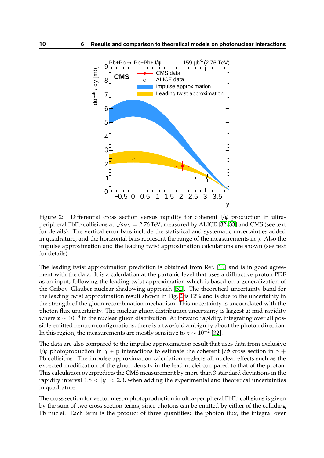<span id="page-11-0"></span>

Figure 2: Differential cross section versus rapidity for coherent J/*ψ* production in ultraperipheral PbPb collisions at <sup>√</sup> *sNN* = 2.76 TeV, measured by ALICE [\[32,](#page-15-10) [33\]](#page-15-11) and CMS (see text for details). The vertical error bars include the statistical and systematic uncertainties added in quadrature, and the horizontal bars represent the range of the measurements in *y*. Also the impulse approximation and the leading twist approximation calculations are shown (see text for details).

The leading twist approximation prediction is obtained from Ref. [\[19\]](#page-14-7) and is in good agreement with the data. It is a calculation at the partonic level that uses a diffractive proton PDF as an input, following the leading twist approximation which is based on a generalization of the Gribov–Glauber nuclear shadowing approach [\[52\]](#page-17-1). The theoretical uncertainty band for the leading twist approximation result shown in Fig. [2](#page-11-0) is 12% and is due to the uncertainty in the strength of the gluon recombination mechanism. This uncertainty is uncorrelated with the photon flux uncertainty. The nuclear gluon distribution uncertainty is largest at mid-rapidity where *x* ∼ 10−<sup>3</sup> in the nuclear gluon distribution. At forward rapidity, integrating over all possible emitted neutron configurations, there is a two-fold ambiguity about the photon direction. In this region, the measurements are mostly sensitive to  $x \sim 10^{-2}$  [\[32\]](#page-15-10).

The data are also compared to the impulse approximation result that uses data from exclusive J/ $\psi$  photoproduction in  $\gamma$  + p interactions to estimate the coherent J/ $\psi$  cross section in  $\gamma$  + Pb collisions. The impulse approximation calculation neglects all nuclear effects such as the expected modification of the gluon density in the lead nuclei compared to that of the proton. This calculation overpredicts the CMS measurement by more than 3 standard deviations in the rapidity interval  $1.8 < |y| < 2.3$ , when adding the experimental and theoretical uncertainties in quadrature.

The cross section for vector meson photoproduction in ultra-peripheral PbPb collisions is given by the sum of two cross section terms, since photons can be emitted by either of the colliding Pb nuclei. Each term is the product of three quantities: the photon flux, the integral over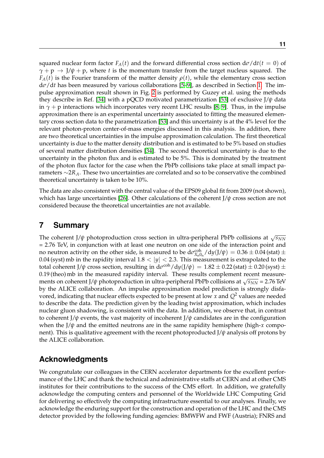squared nuclear form factor  $F_A(t)$  and the forward differential cross section  $d\sigma/dt(t=0)$  of  $\gamma + p \rightarrow J/\psi + p$ , where *t* is the momentum transfer from the target nucleus squared. The  $F_A(t)$  is the Fourier transform of the matter density  $\rho(t)$ , while the elementary cross section d*σ*/d*t* has been measured by various collaborations [\[5](#page-13-4)[–9\]](#page-14-2), as described in Section [1.](#page-2-0) The impulse approximation result shown in Fig. [2](#page-11-0) is performed by Guzey et al. using the methods they describe in Ref. [\[34\]](#page-15-12) with a pQCD motivated parametrization [\[53\]](#page-17-2) of exclusive J/*ψ* data in  $\gamma$  + p interactions which incorporates very recent LHC results [\[8,](#page-14-1) [9\]](#page-14-2). Thus, in the impulse approximation there is an experimental uncertainty associated to fitting the measured elementary cross section data to the parametrization [\[53\]](#page-17-2) and this uncertainty is at the 4% level for the relevant photon-proton center-of-mass energies discussed in this analysis. In addition, there are two theoretical uncertainties in the impulse approximation calculation. The first theoretical uncertainty is due to the matter density distribution and is estimated to be 5% based on studies of several matter distribution densities [\[34\]](#page-15-12). The second theoretical uncertainty is due to the uncertainty in the photon flux and is estimated to be 5%. This is dominated by the treatment of the photon flux factor for the case when the PbPb collisions take place at small impact parameters ∼2*RA*. These two uncertainties are correlated and so to be conservative the combined theoretical uncertainty is taken to be 10%.

The data are also consistent with the central value of the EPS09 global fit from 2009 (not shown), which has large uncertainties [\[26\]](#page-15-5). Other calculations of the coherent J/*ψ* cross section are not considered because the theoretical uncertainties are not available.

## **7 Summary**

The coherent J/*<sup>ψ</sup>* photoproduction cross section in ultra-peripheral PbPb collisions at <sup>√</sup> *sNN* = 2.76 TeV, in conjunction with at least one neutron on one side of the interaction point and no neutron activity on the other side, is measured to be  $d\sigma_{X_n0_n}^{\rm coh}/dy(J/\psi)=0.36\pm0.04$  (stat)  $\pm$ 0.04 (syst) mb in the rapidity interval  $1.8 < |y| < 2.3$ . This measurement is extrapolated to the total coherent J/ $\psi$  cross section, resulting in d $\sigma^{\rm coh}/dy$ (J/ $\psi) = 1.82 \pm 0.22$  (stat)  $\pm$  0.20 (syst)  $\pm$ 0.19 (theo) mb in the measured rapidity interval. These results complement recent measurements on coherent J/*<sup>ψ</sup>* photoproduction in ultra-peripheral PbPb collisions at <sup>√</sup> *sNN* = 2.76 TeV by the ALICE collaboration. An impulse approximation model prediction is strongly disfavored, indicating that nuclear effects expected to be present at low *x* and *Q*<sup>2</sup> values are needed to describe the data. The prediction given by the leading twist approximation, which includes nuclear gluon shadowing, is consistent with the data. In addition, we observe that, in contrast to coherent J/*ψ* events, the vast majority of incoherent J/*ψ* candidates are in the configuration when the  $J/\psi$  and the emitted neutrons are in the same rapidity hemisphere (high-x component). This is qualitative agreement with the recent photoproducted J/*ψ* analysis off protons by the ALICE collaboration.

## **Acknowledgments**

We congratulate our colleagues in the CERN accelerator departments for the excellent performance of the LHC and thank the technical and administrative staffs at CERN and at other CMS institutes for their contributions to the success of the CMS effort. In addition, we gratefully acknowledge the computing centers and personnel of the Worldwide LHC Computing Grid for delivering so effectively the computing infrastructure essential to our analyses. Finally, we acknowledge the enduring support for the construction and operation of the LHC and the CMS detector provided by the following funding agencies: BMWFW and FWF (Austria); FNRS and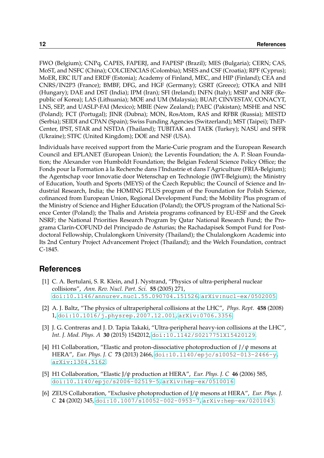FWO (Belgium); CNPq, CAPES, FAPERJ, and FAPESP (Brazil); MES (Bulgaria); CERN; CAS, MoST, and NSFC (China); COLCIENCIAS (Colombia); MSES and CSF (Croatia); RPF (Cyprus); MoER, ERC IUT and ERDF (Estonia); Academy of Finland, MEC, and HIP (Finland); CEA and CNRS/IN2P3 (France); BMBF, DFG, and HGF (Germany); GSRT (Greece); OTKA and NIH (Hungary); DAE and DST (India); IPM (Iran); SFI (Ireland); INFN (Italy); MSIP and NRF (Republic of Korea); LAS (Lithuania); MOE and UM (Malaysia); BUAP, CINVESTAV, CONACYT, LNS, SEP, and UASLP-FAI (Mexico); MBIE (New Zealand); PAEC (Pakistan); MSHE and NSC (Poland); FCT (Portugal); JINR (Dubna); MON, RosAtom, RAS and RFBR (Russia); MESTD (Serbia); SEIDI and CPAN (Spain); Swiss Funding Agencies (Switzerland); MST (Taipei); ThEP-Center, IPST, STAR and NSTDA (Thailand); TUBITAK and TAEK (Turkey); NASU and SFFR (Ukraine); STFC (United Kingdom); DOE and NSF (USA).

Individuals have received support from the Marie-Curie program and the European Research Council and EPLANET (European Union); the Leventis Foundation; the A. P. Sloan Foundation; the Alexander von Humboldt Foundation; the Belgian Federal Science Policy Office; the Fonds pour la Formation a la Recherche dans l'Industrie et dans l'Agriculture (FRIA-Belgium); ` the Agentschap voor Innovatie door Wetenschap en Technologie (IWT-Belgium); the Ministry of Education, Youth and Sports (MEYS) of the Czech Republic; the Council of Science and Industrial Research, India; the HOMING PLUS program of the Foundation for Polish Science, cofinanced from European Union, Regional Development Fund; the Mobility Plus program of the Ministry of Science and Higher Education (Poland); the OPUS program of the National Science Center (Poland); the Thalis and Aristeia programs cofinanced by EU-ESF and the Greek NSRF; the National Priorities Research Program by Qatar National Research Fund; the Programa Clarín-COFUND del Principado de Asturias; the Rachadapisek Sompot Fund for Postdoctoral Fellowship, Chulalongkorn University (Thailand); the Chulalongkorn Academic into Its 2nd Century Project Advancement Project (Thailand); and the Welch Foundation, contract C-1845.

## **References**

- <span id="page-13-0"></span>[1] C. A. Bertulani, S. R. Klein, and J. Nystrand, "Physics of ultra-peripheral nuclear collisions", *Ann. Rev. Nucl. Part. Sci.* **55** (2005) 271, [doi:10.1146/annurev.nucl.55.090704.151526](http://dx.doi.org/10.1146/annurev.nucl.55.090704.151526), [arXiv:nucl-ex/0502005](http://www.arXiv.org/abs/nucl-ex/0502005).
- [2] A. J. Baltz, "The physics of ultraperipheral collisions at the LHC", *Phys. Rept.* **458** (2008) 1, [doi:10.1016/j.physrep.2007.12.001](http://dx.doi.org/10.1016/j.physrep.2007.12.001), [arXiv:0706.3356](http://www.arXiv.org/abs/0706.3356).
- <span id="page-13-1"></span>[3] J. G. Contreras and J. D. Tapia Takaki, "Ultra-peripheral heavy-ion collisions at the LHC", *Int. J. Mod. Phys. A* **30** (2015) 1542012, [doi:10.1142/S0217751X15420129](http://dx.doi.org/10.1142/S0217751X15420129).
- <span id="page-13-2"></span>[4] H1 Collaboration, "Elastic and proton-dissociative photoproduction of *J*/*ψ* mesons at HERA", *Eur. Phys. J. C* **73** (2013) 2466, [doi:10.1140/epjc/s10052-013-2466-y](http://dx.doi.org/10.1140/epjc/s10052-013-2466-y), [arXiv:1304.5162](http://www.arXiv.org/abs/1304.5162).
- <span id="page-13-4"></span>[5] H1 Collaboration, "Elastic J/*ψ* production at HERA", *Eur. Phys. J. C* **46** (2006) 585, [doi:10.1140/epjc/s2006-02519-5](http://dx.doi.org/10.1140/epjc/s2006-02519-5), [arXiv:hep-ex/0510016](http://www.arXiv.org/abs/hep-ex/0510016).
- <span id="page-13-3"></span>[6] ZEUS Collaboration, "Exclusive photoproduction of J/*ψ* mesons at HERA", *Eur. Phys. J. C* **24** (2002) 345, [doi:10.1007/s10052-002-0953-7](http://dx.doi.org/10.1007/s10052-002-0953-7), [arXiv:hep-ex/0201043](http://www.arXiv.org/abs/hep-ex/0201043).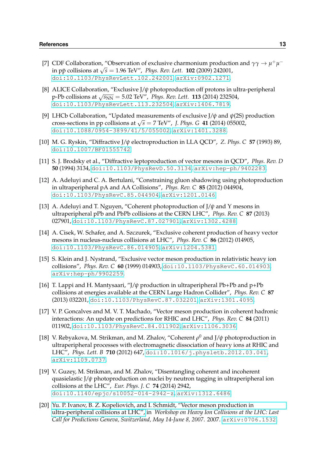- <span id="page-14-0"></span>[7] CDF Collaboration, "Observation of exclusive charmonium production and  $\gamma \gamma \to \mu^+ \mu^$ in pp collisions at ¯ *s* = 1.96 TeV", *Phys. Rev. Lett.* **102** (2009) 242001, [doi:10.1103/PhysRevLett.102.242001](http://dx.doi.org/10.1103/PhysRevLett.102.242001), [arXiv:0902.1271](http://www.arXiv.org/abs/0902.1271).
- <span id="page-14-1"></span>[8] ALICE Collaboration, "Exclusive J/*ψ* photoproduction off protons in ultra-peripheral  $P_{\text{P}}$ Pb collisions at  $\sqrt{s_{\text{NN}}}$  = 5.02 TeV", *Phys. Rev. Lett.* **113** (2014) 232504, [doi:10.1103/PhysRevLett.113.232504](http://dx.doi.org/10.1103/PhysRevLett.113.232504), [arXiv:1406.7819](http://www.arXiv.org/abs/1406.7819).
- <span id="page-14-2"></span>[9] LHCb Collaboration, "Updated measurements of exclusive J/*ψ* and *ψ*(2S) production  $\text{LHCD}$  Conaboration, Updated measurements of exclusive *J/ψ* and *ψ*(∠5) cross-sections in pp collisions at  $\sqrt{s} = 7 \text{ TeV}$ , *J. Phys. G* 41 (2014) 055002, [doi:10.1088/0954-3899/41/5/055002](http://dx.doi.org/10.1088/0954-3899/41/5/055002), [arXiv:1401.3288](http://www.arXiv.org/abs/1401.3288).
- <span id="page-14-3"></span>[10] M. G. Ryskin, "Diffractive J/*ψ* electroproduction in LLA QCD", *Z. Phys. C* **57** (1993) 89, [doi:10.1007/BF01555742](http://dx.doi.org/10.1007/BF01555742).
- <span id="page-14-4"></span>[11] S. J. Brodsky et al., "Diffractive leptoproduction of vector mesons in QCD", *Phys. Rev. D* **50** (1994) 3134, [doi:10.1103/PhysRevD.50.3134](http://dx.doi.org/10.1103/PhysRevD.50.3134), [arXiv:hep-ph/9402283](http://www.arXiv.org/abs/hep-ph/9402283).
- <span id="page-14-5"></span>[12] A. Adeluyi and C. A. Bertulani, "Constraining gluon shadowing using photoproduction in ultraperipheral pA and AA Collisions", *Phys. Rev. C* **85** (2012) 044904, [doi:10.1103/PhysRevC.85.044904](http://dx.doi.org/10.1103/PhysRevC.85.044904), [arXiv:1201.0146](http://www.arXiv.org/abs/1201.0146).
- [13] A. Adeluyi and T. Nguyen, "Coherent photoproduction of J/*ψ* and Υ mesons in ultraperipheral pPb and PbPb collisions at the CERN LHC", *Phys. Rev. C* **87** (2013) 027901, [doi:10.1103/PhysRevC.87.027901](http://dx.doi.org/10.1103/PhysRevC.87.027901), [arXiv:1302.4288](http://www.arXiv.org/abs/1302.4288).
- [14] A. Cisek, W. Schafer, and A. Szczurek, "Exclusive coherent production of heavy vector mesons in nucleus-nucleus collisions at LHC", *Phys. Rev. C* **86** (2012) 014905, [doi:10.1103/PhysRevC.86.014905](http://dx.doi.org/10.1103/PhysRevC.86.014905), [arXiv:1204.5381](http://www.arXiv.org/abs/1204.5381).
- <span id="page-14-9"></span>[15] S. Klein and J. Nystrand, "Exclusive vector meson production in relativistic heavy ion collisions", *Phys. Rev. C* **60** (1999) 014903, [doi:10.1103/PhysRevC.60.014903](http://dx.doi.org/10.1103/PhysRevC.60.014903), [arXiv:hep-ph/9902259](http://www.arXiv.org/abs/hep-ph/9902259).
- [16] T. Lappi and H. Mantysaari, "J/*ψ* production in ultraperipheral Pb+Pb and p+Pb collisions at energies available at the CERN Large Hadron Collider", *Phys. Rev. C* **87** (2013) 032201, [doi:10.1103/PhysRevC.87.032201](http://dx.doi.org/10.1103/PhysRevC.87.032201), [arXiv:1301.4095](http://www.arXiv.org/abs/1301.4095).
- [17] V. P. Goncalves and M. V. T. Machado, "Vector meson production in coherent hadronic interactions: An update on predictions for RHIC and LHC", *Phys. Rev. C* **84** (2011) 011902, [doi:10.1103/PhysRevC.84.011902](http://dx.doi.org/10.1103/PhysRevC.84.011902), [arXiv:1106.3036](http://www.arXiv.org/abs/1106.3036).
- <span id="page-14-8"></span>[18] V. Rebyakova, M. Strikman, and M. Zhalov, "Coherent *ρ* <sup>0</sup> and J/*ψ* photoproduction in ultraperipheral processes with electromagnetic dissociation of heavy ions at RHIC and LHC", *Phys. Lett. B* **710** (2012) 647, [doi:10.1016/j.physletb.2012.03.041](http://dx.doi.org/10.1016/j.physletb.2012.03.041), [arXiv:1109.0737](http://www.arXiv.org/abs/1109.0737).
- <span id="page-14-7"></span>[19] V. Guzey, M. Strikman, and M. Zhalov, "Disentangling coherent and incoherent quasielastic J/*ψ* photoproduction on nuclei by neutron tagging in ultraperipheral ion collisions at the LHC", *Eur. Phys. J. C* **74** (2014) 2942, [doi:10.1140/epjc/s10052-014-2942-z](http://dx.doi.org/10.1140/epjc/s10052-014-2942-z), [arXiv:1312.6486](http://www.arXiv.org/abs/1312.6486).
- <span id="page-14-6"></span>[20] [Yu. P. Ivanov, B. Z. Kopeliovich, and I. Schmidt, "Vector meson production in](https://inspirehep.net/record/752847/files/arXiv:0706.1532.pdf) [ultra-peripheral collisions at LHC",](https://inspirehep.net/record/752847/files/arXiv:0706.1532.pdf) in *Workshop on Heavy Ion Collisions at the LHC: Last Call for Predictions Geneva, Switzerland, May 14-June 8, 2007*. 2007. [arXiv:0706.1532](http://www.arXiv.org/abs/0706.1532).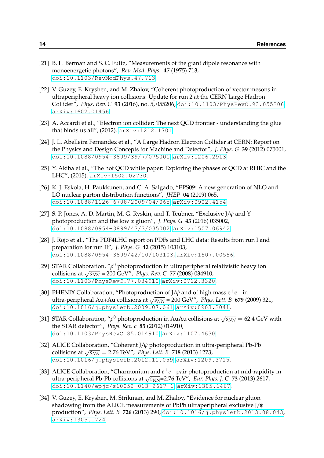- <span id="page-15-0"></span>[21] B. L. Berman and S. C. Fultz, "Measurements of the giant dipole resonance with monoenergetic photons", *Rev. Mod. Phys.* **47** (1975) 713, [doi:10.1103/RevModPhys.47.713](http://dx.doi.org/10.1103/RevModPhys.47.713).
- <span id="page-15-1"></span>[22] V. Guzey, E. Kryshen, and M. Zhalov, "Coherent photoproduction of vector mesons in ultraperipheral heavy ion collisions: Update for run 2 at the CERN Large Hadron Collider", *Phys. Rev. C* **93** (2016), no. 5, 055206, [doi:10.1103/PhysRevC.93.055206](http://dx.doi.org/10.1103/PhysRevC.93.055206), [arXiv:1602.01456](http://www.arXiv.org/abs/1602.01456).
- <span id="page-15-2"></span>[23] A. Accardi et al., "Electron ion collider: The next QCD frontier - understanding the glue that binds us all", (2012). [arXiv:1212.1701](http://www.arXiv.org/abs/1212.1701).
- <span id="page-15-3"></span>[24] J. L. Abelleira Fernandez et al., "A Large Hadron Electron Collider at CERN: Report on the Physics and Design Concepts for Machine and Detector", *J. Phys. G* **39** (2012) 075001, [doi:10.1088/0954-3899/39/7/075001](http://dx.doi.org/10.1088/0954-3899/39/7/075001), [arXiv:1206.2913](http://www.arXiv.org/abs/1206.2913).
- <span id="page-15-4"></span>[25] Y. Akiba et al., "The hot QCD white paper: Exploring the phases of QCD at RHIC and the LHC", (2015). [arXiv:1502.02730](http://www.arXiv.org/abs/1502.02730).
- <span id="page-15-5"></span>[26] K. J. Eskola, H. Paukkunen, and C. A. Salgado, "EPS09: A new generation of NLO and LO nuclear parton distribution functions", *JHEP* **04** (2009) 065, [doi:10.1088/1126-6708/2009/04/065](http://dx.doi.org/10.1088/1126-6708/2009/04/065), [arXiv:0902.4154](http://www.arXiv.org/abs/0902.4154).
- <span id="page-15-6"></span>[27] S. P. Jones, A. D. Martin, M. G. Ryskin, and T. Teubner, "Exclusive J/*ψ* and Υ photoproduction and the low *x* gluon", *J. Phys. G* **43** (2016) 035002, [doi:10.1088/0954-3899/43/3/035002](http://dx.doi.org/10.1088/0954-3899/43/3/035002), [arXiv:1507.06942](http://www.arXiv.org/abs/1507.06942).
- <span id="page-15-7"></span>[28] J. Rojo et al., "The PDF4LHC report on PDFs and LHC data: Results from run I and preparation for run II", *J. Phys. G* **42** (2015) 103103, [doi:10.1088/0954-3899/42/10/103103](http://dx.doi.org/10.1088/0954-3899/42/10/103103), [arXiv:1507.00556](http://www.arXiv.org/abs/1507.00556).
- <span id="page-15-8"></span>[29] STAR Collaboration, "*ρ* <sup>0</sup> photoproduction in ultraperipheral relativistic heavy ion collisions at  $\sqrt{s_{NN}}$  = 200 GeV", *Phys. Rev.* C 77 (2008) 034910, [doi:10.1103/PhysRevC.77.034910](http://dx.doi.org/10.1103/PhysRevC.77.034910), [arXiv:0712.3320](http://www.arXiv.org/abs/0712.3320).
- <span id="page-15-13"></span>[30] PHENIX Collaboration, "Photoproduction of J/ $ψ$  and of high mass e<sup>+</sup>e<sup>-</sup> in  $\mu$  The NIX Conaboration, Thotoproduction of  $y/\psi$  and of high mass  $\epsilon$   $\epsilon$  in the multra-peripheral Au+Au collisions at  $\sqrt{s_{NN}}$  = 200 GeV", *Phys. Lett. B* **679** (2009) 321, [doi:10.1016/j.physletb.2009.07.061](http://dx.doi.org/10.1016/j.physletb.2009.07.061), [arXiv:0903.2041](http://www.arXiv.org/abs/0903.2041).
- <span id="page-15-9"></span>[31] STAR Collaboration, " $\rho^0$  photoproduction in AuAu collisions at  $\sqrt{s_{NN}} = 62.4$  GeV with the STAR detector", *Phys. Rev. c* **85** (2012) 014910, [doi:10.1103/PhysRevC.85.014910](http://dx.doi.org/10.1103/PhysRevC.85.014910), [arXiv:1107.4630](http://www.arXiv.org/abs/1107.4630).
- <span id="page-15-10"></span>[32] ALICE Collaboration, "Coherent J/*ψ* photoproduction in ultra-peripheral Pb-Pb  $\chi$ <sup>2</sup>Collisions at  $\sqrt{s_{NN}}$  = 2.76 TeV", *Phys. Lett. B* **718** (2013) 1273, [doi:10.1016/j.physletb.2012.11.059](http://dx.doi.org/10.1016/j.physletb.2012.11.059), [arXiv:1209.3715](http://www.arXiv.org/abs/1209.3715).
- <span id="page-15-11"></span>[33] ALICE Collaboration, "Charmonium and  $e^+e^-$  pair photoproduction at mid-rapidity in  $\frac{1}{\sqrt{2}}$  except conaboration, Charmonium and  $e^+e^-$  pair photoproduction at mu-rapidity ultra-peripheral Pb-Pb collisions at  $\sqrt{s_{NN}}$ =2.76 TeV", *Eur. Phys. J. C* **73** (2013) 2617, [doi:10.1140/epjc/s10052-013-2617-1](http://dx.doi.org/10.1140/epjc/s10052-013-2617-1), [arXiv:1305.1467](http://www.arXiv.org/abs/1305.1467).
- <span id="page-15-12"></span>[34] V. Guzey, E. Kryshen, M. Strikman, and M. Zhalov, "Evidence for nuclear gluon shadowing from the ALICE measurements of PbPb ultraperipheral exclusive J/*ψ* production", *Phys. Lett. B* **726** (2013) 290, [doi:10.1016/j.physletb.2013.08.043](http://dx.doi.org/10.1016/j.physletb.2013.08.043), [arXiv:1305.1724](http://www.arXiv.org/abs/1305.1724).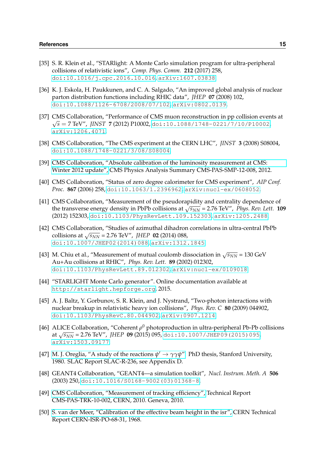- <span id="page-16-0"></span>[35] S. R. Klein et al., "STARlight: A Monte Carlo simulation program for ultra-peripheral collisions of relativistic ions", *Comp. Phys. Comm.* **212** (2017) 258, [doi:10.1016/j.cpc.2016.10.016](http://dx.doi.org/10.1016/j.cpc.2016.10.016), [arXiv:1607.03838](http://www.arXiv.org/abs/1607.03838).
- <span id="page-16-1"></span>[36] K. J. Eskola, H. Paukkunen, and C. A. Salgado, "An improved global analysis of nuclear parton distribution functions including RHIC data", *JHEP* **07** (2008) 102, [doi:10.1088/1126-6708/2008/07/102](http://dx.doi.org/10.1088/1126-6708/2008/07/102), [arXiv:0802.0139](http://www.arXiv.org/abs/0802.0139).
- <span id="page-16-2"></span>[37] CMS Collaboration, "Performance of CMS muon reconstruction in pp collision events at √  $\sqrt{s}$  = 7 TeV", *JINST* 7 (2012) P10002, [doi:10.1088/1748-0221/7/10/P10002](http://dx.doi.org/10.1088/1748-0221/7/10/P10002), [arXiv:1206.4071](http://www.arXiv.org/abs/1206.4071).
- <span id="page-16-3"></span>[38] CMS Collaboration, "The CMS experiment at the CERN LHC", *JINST* **3** (2008) S08004, [doi:10.1088/1748-0221/3/08/S08004](http://dx.doi.org/10.1088/1748-0221/3/08/S08004).
- <span id="page-16-4"></span>[39] [CMS Collaboration, "Absolute calibration of the luminosity measurement at CMS:](http://cdsweb.cern.ch/record/1434360) [Winter 2012 update",](http://cdsweb.cern.ch/record/1434360) CMS Physics Analysis Summary CMS-PAS-SMP-12-008, 2012.
- <span id="page-16-5"></span>[40] CMS Collaboration, "Status of zero degree calorimeter for CMS experiment", *AIP Conf. Proc.* **867** (2006) 258, [doi:10.1063/1.2396962](http://dx.doi.org/10.1063/1.2396962), [arXiv:nucl-ex/0608052](http://www.arXiv.org/abs/nucl-ex/0608052).
- [41] CMS Collaboration, "Measurement of the pseudorapidity and centrality dependence of  $\frac{1}{100}$  the transverse energy density in PbPb collisions at  $\sqrt{s_{NN}}$  = 2.76 TeV", *Phys. Rev. Lett.* **109** (2012) 152303, [doi:10.1103/PhysRevLett.109.152303](http://dx.doi.org/10.1103/PhysRevLett.109.152303), [arXiv:1205.2488](http://www.arXiv.org/abs/1205.2488).
- <span id="page-16-6"></span>[42] CMS Collaboration, "Studies of azimuthal dihadron correlations in ultra-central PbPb  $\frac{1}{\text{collisions at } \sqrt{s_{NN}}}$  = 2.76 TeV", *JHEP* **02** (2014) 088, [doi:10.1007/JHEP02\(2014\)088](http://dx.doi.org/10.1007/JHEP02(2014)088), [arXiv:1312.1845](http://www.arXiv.org/abs/1312.1845).
- <span id="page-16-7"></span>[43] M. Chiu et al., "Measurement of mutual coulomb dissociation in  $\sqrt{s_{NN}}$  = 130 GeV Au+Au collisions at RHIC", *Phys. Rev. Lett.* **89** (2002) 012302, [doi:10.1103/PhysRevLett.89.012302](http://dx.doi.org/10.1103/PhysRevLett.89.012302), [arXiv:nucl-ex/0109018](http://www.arXiv.org/abs/nucl-ex/0109018).
- <span id="page-16-8"></span>[44] "STARLIGHT Monte Carlo generator". Online documentation available at <http://starlight.hepforge.org>, 2015.
- <span id="page-16-9"></span>[45] A. J. Baltz, Y. Gorbunov, S. R. Klein, and J. Nystrand, "Two-photon interactions with nuclear breakup in relativistic heavy ion collisions", *Phys. Rev. C* **80** (2009) 044902, [doi:10.1103/PhysRevC.80.044902](http://dx.doi.org/10.1103/PhysRevC.80.044902), [arXiv:0907.1214](http://www.arXiv.org/abs/0907.1214).
- <span id="page-16-10"></span>[46] ALICE Collaboration, "Coherent *ρ* <sup>0</sup> photoproduction in ultra-peripheral Pb-Pb collisions  $\frac{\text{ALICE}}{\text{OMADOIAI}}$   $\frac{\text{Coneent } p \text{ proportionaled at } \text{U14} - \text{periplet at } \text{O} - 100 \text{ m/s}}$  at  $\sqrt{\text{s_{NN}}}$  = 2.76 TeV", *JHEP* **09** (2015) 095, doi:10.1007/JHEP09(2015) 095, [arXiv:1503.09177](http://www.arXiv.org/abs/1503.09177).
- <span id="page-16-11"></span>[47] [M. J. Oreglia, "A study of the reactions](http://www.slac.stanford.edu/pubs/slacreports/slac-r-236.html)  $\psi' \to \gamma \gamma \psi$ ". PhD thesis, Stanford University, 1980. SLAC Report SLAC-R-236, see Appendix D.
- <span id="page-16-12"></span>[48] GEANT4 Collaboration, "GEANT4—a simulation toolkit", *Nucl. Instrum. Meth. A* **506** (2003) 250, [doi:10.1016/S0168-9002\(03\)01368-8](http://dx.doi.org/10.1016/S0168-9002(03)01368-8).
- <span id="page-16-13"></span>[49] [CMS Collaboration, "Measurement of tracking efficiency",](https://cds.cern.ch/record/1279139) Technical Report CMS-PAS-TRK-10-002, CERN, 2010. Geneva, 2010.
- <span id="page-16-14"></span>[50] [S. van der Meer, "Calibration of the effective beam height in the isr",](http://cds.cern.ch/record/296752) CERN Technical Report CERN-ISR-PO-68-31, 1968.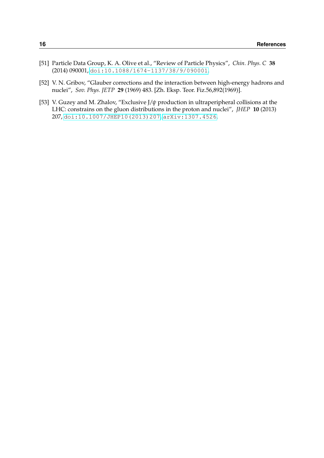- <span id="page-17-0"></span>[51] Particle Data Group, K. A. Olive et al., "Review of Particle Physics", *Chin. Phys. C* **38** (2014) 090001, [doi:10.1088/1674-1137/38/9/090001](http://dx.doi.org/10.1088/1674-1137/38/9/090001).
- <span id="page-17-1"></span>[52] V. N. Gribov, "Glauber corrections and the interaction between high-energy hadrons and nuclei", *Sov. Phys. JETP* **29** (1969) 483. [Zh. Eksp. Teor. Fiz.56,892(1969)].
- <span id="page-17-2"></span>[53] V. Guzey and M. Zhalov, "Exclusive J/*ψ* production in ultraperipheral collisions at the LHC: constrains on the gluon distributions in the proton and nuclei", *JHEP* **10** (2013) 207, [doi:10.1007/JHEP10\(2013\)207](http://dx.doi.org/10.1007/JHEP10(2013)207), [arXiv:1307.4526](http://www.arXiv.org/abs/1307.4526).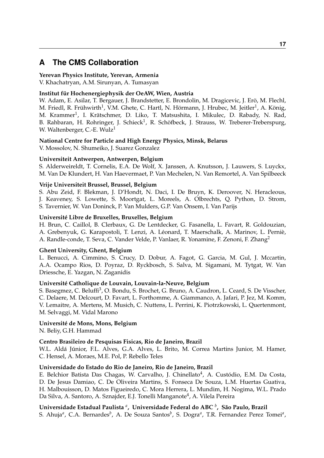## <span id="page-18-0"></span>**A The CMS Collaboration**

## **Yerevan Physics Institute, Yerevan, Armenia**

V. Khachatryan, A.M. Sirunyan, A. Tumasyan

## Institut für Hochenergiephysik der OeAW, Wien, Austria

W. Adam, E. Asilar, T. Bergauer, J. Brandstetter, E. Brondolin, M. Dragicevic, J. Erö, M. Flechl, M. Friedl, R. Frühwirth<sup>1</sup>, V.M. Ghete, C. Hartl, N. Hörmann, J. Hrubec, M. Jeitler<sup>1</sup>, A. König, M. Krammer<sup>1</sup>, I. Krätschmer, D. Liko, T. Matsushita, I. Mikulec, D. Rabady, N. Rad, B. Rahbaran, H. Rohringer, J. Schieck<sup>1</sup>, R. Schöfbeck, J. Strauss, W. Treberer-Treberspurg, W. Waltenberger, C.-E. Wulz<sup>1</sup>

## **National Centre for Particle and High Energy Physics, Minsk, Belarus**

V. Mossolov, N. Shumeiko, J. Suarez Gonzalez

## **Universiteit Antwerpen, Antwerpen, Belgium**

S. Alderweireldt, T. Cornelis, E.A. De Wolf, X. Janssen, A. Knutsson, J. Lauwers, S. Luyckx, M. Van De Klundert, H. Van Haevermaet, P. Van Mechelen, N. Van Remortel, A. Van Spilbeeck

## **Vrije Universiteit Brussel, Brussel, Belgium**

S. Abu Zeid, F. Blekman, J. D'Hondt, N. Daci, I. De Bruyn, K. Deroover, N. Heracleous, J. Keaveney, S. Lowette, S. Moortgat, L. Moreels, A. Olbrechts, Q. Python, D. Strom, S. Tavernier, W. Van Doninck, P. Van Mulders, G.P. Van Onsem, I. Van Parijs

## **Universit´e Libre de Bruxelles, Bruxelles, Belgium**

H. Brun, C. Caillol, B. Clerbaux, G. De Lentdecker, G. Fasanella, L. Favart, R. Goldouzian, A. Grebenyuk, G. Karapostoli, T. Lenzi, A. Léonard, T. Maerschalk, A. Marinov, L. Perniè, A. Randle-conde, T. Seva, C. Vander Velde, P. Vanlaer, R. Yonamine, F. Zenoni, F. Zhang<sup>2</sup>

#### **Ghent University, Ghent, Belgium**

L. Benucci, A. Cimmino, S. Crucy, D. Dobur, A. Fagot, G. Garcia, M. Gul, J. Mccartin, A.A. Ocampo Rios, D. Poyraz, D. Ryckbosch, S. Salva, M. Sigamani, M. Tytgat, W. Van Driessche, E. Yazgan, N. Zaganidis

## **Universit´e Catholique de Louvain, Louvain-la-Neuve, Belgium**

S. Basegmez, C. Beluffi<sup>3</sup>, O. Bondu, S. Brochet, G. Bruno, A. Caudron, L. Ceard, S. De Visscher, C. Delaere, M. Delcourt, D. Favart, L. Forthomme, A. Giammanco, A. Jafari, P. Jez, M. Komm, V. Lemaitre, A. Mertens, M. Musich, C. Nuttens, L. Perrini, K. Piotrzkowski, L. Quertenmont, M. Selvaggi, M. Vidal Marono

## **Universit´e de Mons, Mons, Belgium**

N. Beliy, G.H. Hammad

## **Centro Brasileiro de Pesquisas Fisicas, Rio de Janeiro, Brazil**

W.L. Aldá Júnior, F.L. Alves, G.A. Alves, L. Brito, M. Correa Martins Junior, M. Hamer, C. Hensel, A. Moraes, M.E. Pol, P. Rebello Teles

## **Universidade do Estado do Rio de Janeiro, Rio de Janeiro, Brazil**

E. Belchior Batista Das Chagas, W. Carvalho, J. Chinellato<sup>4</sup>, A. Custódio, E.M. Da Costa, D. De Jesus Damiao, C. De Oliveira Martins, S. Fonseca De Souza, L.M. Huertas Guativa, H. Malbouisson, D. Matos Figueiredo, C. Mora Herrera, L. Mundim, H. Nogima, W.L. Prado Da Silva, A. Santoro, A. Sznajder, E.J. Tonelli Manganote<sup>4</sup>, A. Vilela Pereira

## **Universidade Estadual Paulista** *<sup>a</sup>* **, Universidade Federal do ABC** *<sup>b</sup>* **, S˜ao Paulo, Brazil**

S. Ahuja<sup>a</sup>, C.A. Bernardes<sup>b</sup>, A. De Souza Santos<sup>b</sup>, S. Dogra<sup>a</sup>, T.R. Fernandez Perez Tomei<sup>a</sup>,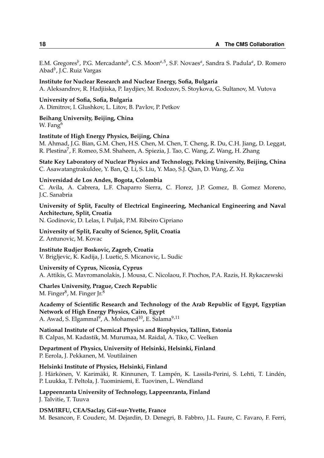E.M. Gregores*<sup>b</sup>* , P.G. Mercadante*<sup>b</sup>* , C.S. Moon*a*,5, S.F. Novaes*<sup>a</sup>* , Sandra S. Padula*<sup>a</sup>* , D. Romero Abad*<sup>b</sup>* , J.C. Ruiz Vargas

**Institute for Nuclear Research and Nuclear Energy, Sofia, Bulgaria**

A. Aleksandrov, R. Hadjiiska, P. Iaydjiev, M. Rodozov, S. Stoykova, G. Sultanov, M. Vutova

**University of Sofia, Sofia, Bulgaria** A. Dimitrov, I. Glushkov, L. Litov, B. Pavlov, P. Petkov

**Beihang University, Beijing, China** W. Fang<sup>6</sup>

## **Institute of High Energy Physics, Beijing, China**

M. Ahmad, J.G. Bian, G.M. Chen, H.S. Chen, M. Chen, T. Cheng, R. Du, C.H. Jiang, D. Leggat, R. Plestina<sup>7</sup>, F. Romeo, S.M. Shaheen, A. Spiezia, J. Tao, C. Wang, Z. Wang, H. Zhang

**State Key Laboratory of Nuclear Physics and Technology, Peking University, Beijing, China** C. Asawatangtrakuldee, Y. Ban, Q. Li, S. Liu, Y. Mao, S.J. Qian, D. Wang, Z. Xu

**Universidad de Los Andes, Bogota, Colombia**

C. Avila, A. Cabrera, L.F. Chaparro Sierra, C. Florez, J.P. Gomez, B. Gomez Moreno, J.C. Sanabria

**University of Split, Faculty of Electrical Engineering, Mechanical Engineering and Naval Architecture, Split, Croatia** N. Godinovic, D. Lelas, I. Puljak, P.M. Ribeiro Cipriano

**University of Split, Faculty of Science, Split, Croatia** Z. Antunovic, M. Kovac

**Institute Rudjer Boskovic, Zagreb, Croatia** V. Brigljevic, K. Kadija, J. Luetic, S. Micanovic, L. Sudic

**University of Cyprus, Nicosia, Cyprus** A. Attikis, G. Mavromanolakis, J. Mousa, C. Nicolaou, F. Ptochos, P.A. Razis, H. Rykaczewski

**Charles University, Prague, Czech Republic** M. Finger $^8$ , M. Finger Jr. $^8$ 

**Academy of Scientific Research and Technology of the Arab Republic of Egypt, Egyptian Network of High Energy Physics, Cairo, Egypt** A. Awad, S. Elgammal $^9$ , A. Mohamed $^{10}$ , E. Salama $^{9,11}$ 

**National Institute of Chemical Physics and Biophysics, Tallinn, Estonia** B. Calpas, M. Kadastik, M. Murumaa, M. Raidal, A. Tiko, C. Veelken

**Department of Physics, University of Helsinki, Helsinki, Finland** P. Eerola, J. Pekkanen, M. Voutilainen

## **Helsinki Institute of Physics, Helsinki, Finland**

J. Härkönen, V. Karimäki, R. Kinnunen, T. Lampén, K. Lassila-Perini, S. Lehti, T. Lindén, P. Luukka, T. Peltola, J. Tuominiemi, E. Tuovinen, L. Wendland

**Lappeenranta University of Technology, Lappeenranta, Finland** J. Talvitie, T. Tuuva

**DSM/IRFU, CEA/Saclay, Gif-sur-Yvette, France** M. Besancon, F. Couderc, M. Dejardin, D. Denegri, B. Fabbro, J.L. Faure, C. Favaro, F. Ferri,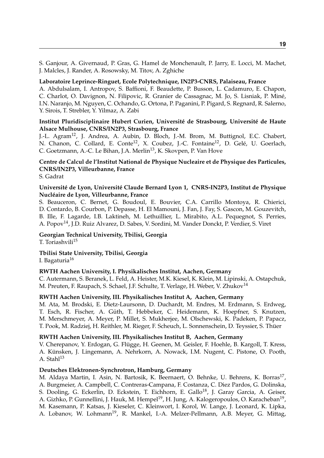S. Ganjour, A. Givernaud, P. Gras, G. Hamel de Monchenault, P. Jarry, E. Locci, M. Machet, J. Malcles, J. Rander, A. Rosowsky, M. Titov, A. Zghiche

#### **Laboratoire Leprince-Ringuet, Ecole Polytechnique, IN2P3-CNRS, Palaiseau, France**

A. Abdulsalam, I. Antropov, S. Baffioni, F. Beaudette, P. Busson, L. Cadamuro, E. Chapon, C. Charlot, O. Davignon, N. Filipovic, R. Granier de Cassagnac, M. Jo, S. Lisniak, P. Mine,´ I.N. Naranjo, M. Nguyen, C. Ochando, G. Ortona, P. Paganini, P. Pigard, S. Regnard, R. Salerno, Y. Sirois, T. Strebler, Y. Yilmaz, A. Zabi

## Institut Pluridisciplinaire Hubert Curien, Université de Strasbourg, Université de Haute **Alsace Mulhouse, CNRS/IN2P3, Strasbourg, France**

J.-L. Agram<sup>12</sup>, J. Andrea, A. Aubin, D. Bloch, J.-M. Brom, M. Buttignol, E.C. Chabert, N. Chanon, C. Collard, E. Conte<sup>12</sup>, X. Coubez, J.-C. Fontaine<sup>12</sup>, D. Gelé, U. Goerlach, C. Goetzmann, A.-C. Le Bihan, J.A. Merlin<sup>13</sup>, K. Skovpen, P. Van Hove

## **Centre de Calcul de l'Institut National de Physique Nucleaire et de Physique des Particules, CNRS/IN2P3, Villeurbanne, France**

S. Gadrat

## Université de Lyon, Université Claude Bernard Lyon 1, CNRS-IN2P3, Institut de Physique **Nucl´eaire de Lyon, Villeurbanne, France**

S. Beauceron, C. Bernet, G. Boudoul, E. Bouvier, C.A. Carrillo Montoya, R. Chierici, D. Contardo, B. Courbon, P. Depasse, H. El Mamouni, J. Fan, J. Fay, S. Gascon, M. Gouzevitch, B. Ille, F. Lagarde, I.B. Laktineh, M. Lethuillier, L. Mirabito, A.L. Pequegnot, S. Perries, A. Popov<sup>14</sup>, J.D. Ruiz Alvarez, D. Sabes, V. Sordini, M. Vander Donckt, P. Verdier, S. Viret

**Georgian Technical University, Tbilisi, Georgia** T. Toriashvili<sup>15</sup>

**Tbilisi State University, Tbilisi, Georgia** I. Bagaturia<sup>16</sup>

#### **RWTH Aachen University, I. Physikalisches Institut, Aachen, Germany**

C. Autermann, S. Beranek, L. Feld, A. Heister, M.K. Kiesel, K. Klein, M. Lipinski, A. Ostapchuk, M. Preuten, F. Raupach, S. Schael, J.F. Schulte, T. Verlage, H. Weber, V. Zhukov<sup>14</sup>

#### **RWTH Aachen University, III. Physikalisches Institut A, Aachen, Germany**

M. Ata, M. Brodski, E. Dietz-Laursonn, D. Duchardt, M. Endres, M. Erdmann, S. Erdweg, T. Esch, R. Fischer, A. Güth, T. Hebbeker, C. Heidemann, K. Hoepfner, S. Knutzen, M. Merschmeyer, A. Meyer, P. Millet, S. Mukherjee, M. Olschewski, K. Padeken, P. Papacz, T. Pook, M. Radziej, H. Reithler, M. Rieger, F. Scheuch, L. Sonnenschein, D. Teyssier, S. Thuer ¨

#### **RWTH Aachen University, III. Physikalisches Institut B, Aachen, Germany**

V. Cherepanov, Y. Erdogan, G. Flugge, H. Geenen, M. Geisler, F. Hoehle, B. Kargoll, T. Kress, ¨ A. Künsken, J. Lingemann, A. Nehrkorn, A. Nowack, I.M. Nugent, C. Pistone, O. Pooth, A. Stahl $^{13}$ 

#### **Deutsches Elektronen-Synchrotron, Hamburg, Germany**

M. Aldaya Martin, I. Asin, N. Bartosik, K. Beernaert, O. Behnke, U. Behrens, K. Borras<sup>17</sup>, A. Burgmeier, A. Campbell, C. Contreras-Campana, F. Costanza, C. Diez Pardos, G. Dolinska, S. Dooling, G. Eckerlin, D. Eckstein, T. Eichhorn, E. Gallo<sup>18</sup>, J. Garay Garcia, A. Geiser, A. Gizhko, P. Gunnellini, J. Hauk, M. Hempel<sup>19</sup>, H. Jung, A. Kalogeropoulos, O. Karacheban<sup>19</sup>, M. Kasemann, P. Katsas, J. Kieseler, C. Kleinwort, I. Korol, W. Lange, J. Leonard, K. Lipka, A. Lobanov, W. Lohmann<sup>19</sup>, R. Mankel, I.-A. Melzer-Pellmann, A.B. Meyer, G. Mittag,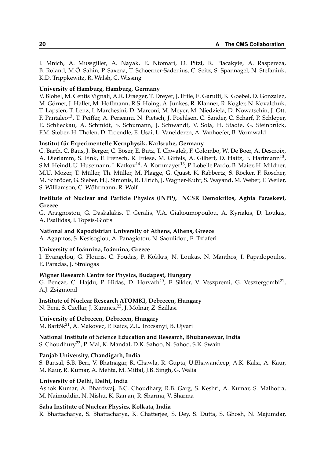J. Mnich, A. Mussgiller, A. Nayak, E. Ntomari, D. Pitzl, R. Placakyte, A. Raspereza, B. Roland, M.Ö. Sahin, P. Saxena, T. Schoerner-Sadenius, C. Seitz, S. Spannagel, N. Stefaniuk, K.D. Trippkewitz, R. Walsh, C. Wissing

#### **University of Hamburg, Hamburg, Germany**

V. Blobel, M. Centis Vignali, A.R. Draeger, T. Dreyer, J. Erfle, E. Garutti, K. Goebel, D. Gonzalez, M. Görner, J. Haller, M. Hoffmann, R.S. Höing, A. Junkes, R. Klanner, R. Kogler, N. Kovalchuk, T. Lapsien, T. Lenz, I. Marchesini, D. Marconi, M. Meyer, M. Niedziela, D. Nowatschin, J. Ott, F. Pantaleo<sup>13</sup>, T. Peiffer, A. Perieanu, N. Pietsch, J. Poehlsen, C. Sander, C. Scharf, P. Schleper, E. Schlieckau, A. Schmidt, S. Schumann, J. Schwandt, V. Sola, H. Stadie, G. Steinbrück, F.M. Stober, H. Tholen, D. Troendle, E. Usai, L. Vanelderen, A. Vanhoefer, B. Vormwald

## Institut für Experimentelle Kernphysik, Karlsruhe, Germany

C. Barth, C. Baus, J. Berger, C. Böser, E. Butz, T. Chwalek, F. Colombo, W. De Boer, A. Descroix, A. Dierlamm, S. Fink, F. Frensch, R. Friese, M. Giffels, A. Gilbert, D. Haitz, F. Hartmann<sup>13</sup>, S.M. Heindl, U. Husemann, I. Katkov<sup>14</sup>, A. Kornmayer<sup>13</sup>, P. Lobelle Pardo, B. Maier, H. Mildner, M.U. Mozer, T. Müller, Th. Müller, M. Plagge, G. Quast, K. Rabbertz, S. Röcker, F. Roscher, M. Schröder, G. Sieber, H.J. Simonis, R. Ulrich, J. Wagner-Kuhr, S. Wayand, M. Weber, T. Weiler, S. Williamson, C. Wöhrmann, R. Wolf

## **Institute of Nuclear and Particle Physics (INPP), NCSR Demokritos, Aghia Paraskevi, Greece**

G. Anagnostou, G. Daskalakis, T. Geralis, V.A. Giakoumopoulou, A. Kyriakis, D. Loukas, A. Psallidas, I. Topsis-Giotis

#### **National and Kapodistrian University of Athens, Athens, Greece**

A. Agapitos, S. Kesisoglou, A. Panagiotou, N. Saoulidou, E. Tziaferi

#### **University of Ioánnina, Ioánnina, Greece**

I. Evangelou, G. Flouris, C. Foudas, P. Kokkas, N. Loukas, N. Manthos, I. Papadopoulos, E. Paradas, J. Strologas

## **Wigner Research Centre for Physics, Budapest, Hungary**

G. Bencze, C. Hajdu, P. Hidas, D. Horvath<sup>20</sup>, F. Sikler, V. Veszpremi, G. Vesztergombi<sup>21</sup>, A.J. Zsigmond

**Institute of Nuclear Research ATOMKI, Debrecen, Hungary** N. Beni, S. Czellar, J. Karancsi<sup>22</sup>, J. Molnar, Z. Szillasi

## **University of Debrecen, Debrecen, Hungary**

M. Bartók<sup>21</sup>, A. Makovec, P. Raics, Z.L. Trocsanyi, B. Ujvari

**National Institute of Science Education and Research, Bhubaneswar, India** S. Choudhury<sup>23</sup>, P. Mal, K. Mandal, D.K. Sahoo, N. Sahoo, S.K. Swain

## **Panjab University, Chandigarh, India**

S. Bansal, S.B. Beri, V. Bhatnagar, R. Chawla, R. Gupta, U.Bhawandeep, A.K. Kalsi, A. Kaur, M. Kaur, R. Kumar, A. Mehta, M. Mittal, J.B. Singh, G. Walia

#### **University of Delhi, Delhi, India**

Ashok Kumar, A. Bhardwaj, B.C. Choudhary, R.B. Garg, S. Keshri, A. Kumar, S. Malhotra, M. Naimuddin, N. Nishu, K. Ranjan, R. Sharma, V. Sharma

#### **Saha Institute of Nuclear Physics, Kolkata, India**

R. Bhattacharya, S. Bhattacharya, K. Chatterjee, S. Dey, S. Dutta, S. Ghosh, N. Majumdar,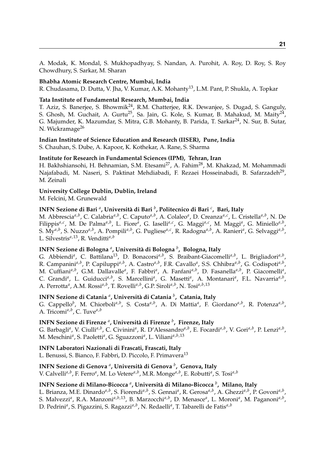A. Modak, K. Mondal, S. Mukhopadhyay, S. Nandan, A. Purohit, A. Roy, D. Roy, S. Roy Chowdhury, S. Sarkar, M. Sharan

#### **Bhabha Atomic Research Centre, Mumbai, India**

R. Chudasama, D. Dutta, V. Jha, V. Kumar, A.K. Mohanty<sup>13</sup>, L.M. Pant, P. Shukla, A. Topkar

#### **Tata Institute of Fundamental Research, Mumbai, India**

T. Aziz, S. Banerjee, S. Bhowmik<sup>24</sup>, R.M. Chatterjee, R.K. Dewanjee, S. Dugad, S. Ganguly, S. Ghosh, M. Guchait, A. Gurtu<sup>25</sup>, Sa. Jain, G. Kole, S. Kumar, B. Mahakud, M. Maity<sup>24</sup>, G. Majumder, K. Mazumdar, S. Mitra, G.B. Mohanty, B. Parida, T. Sarkar<sup>24</sup>, N. Sur, B. Sutar, N. Wickramage<sup>26</sup>

#### **Indian Institute of Science Education and Research (IISER), Pune, India**

S. Chauhan, S. Dube, A. Kapoor, K. Kothekar, A. Rane, S. Sharma

## **Institute for Research in Fundamental Sciences (IPM), Tehran, Iran**

H. Bakhshiansohi, H. Behnamian, S.M. Etesami<sup>27</sup>, A. Fahim<sup>28</sup>, M. Khakzad, M. Mohammadi Najafabadi, M. Naseri, S. Paktinat Mehdiabadi, F. Rezaei Hosseinabadi, B. Safarzadeh<sup>29</sup>, M. Zeinali

**University College Dublin, Dublin, Ireland**

M. Felcini, M. Grunewald

## **INFN Sezione di Bari** *<sup>a</sup>* **, Universit`a di Bari** *<sup>b</sup>* **, Politecnico di Bari** *<sup>c</sup>* **, Bari, Italy**

M. Abbrescia<sup>a,b</sup>, C. Calabria<sup>a,b</sup>, C. Caputo<sup>a,b</sup>, A. Colaleo<sup>a</sup>, D. Creanza<sup>a,c</sup>, L. Cristella<sup>a,b</sup>, N. De Filippis<sup>a,c</sup>, M. De Palma<sup>a,b</sup>, L. Fiore<sup>a</sup>, G. Iaselli<sup>a,c</sup>, G. Maggi<sup>a,c</sup>, M. Maggi<sup>a</sup>, G. Miniello<sup>a,b</sup>, S. My<sup>a,b</sup>, S. Nuzzo<sup>a,b</sup>, A. Pompili<sup>a,b</sup>, G. Pugliese<sup>a,c</sup>, R. Radogna<sup>a,b</sup>, A. Ranieri<sup>a</sup>, G. Selvaggi<sup>a,b</sup>, L. Silvestris*a*,13, R. Venditti*a*,*<sup>b</sup>*

## **INFN Sezione di Bologna** *<sup>a</sup>* **, Universit`a di Bologna** *<sup>b</sup>* **, Bologna, Italy**

G. Abbiendi<sup>*a*</sup>, C. Battilana<sup>13</sup>, D. Bonacorsi<sup>*a,b*</sup>, S. Braibant-Giacomelli<sup>*a,b*</sup>, L. Brigliadori<sup>*a,b*</sup>, R. Campanini<sup>a,b</sup>, P. Capiluppi<sup>a,b</sup>, A. Castro<sup>a,b</sup>, F.R. Cavallo<sup>a</sup>, S.S. Chhibra<sup>a,b</sup>, G. Codispoti<sup>a,b</sup>, M. Cuffiani<sup>a,b</sup>, G.M. Dallavalle<sup>a</sup>, F. Fabbri<sup>a</sup>, A. Fanfani<sup>a,b</sup>, D. Fasanella<sup>a,b</sup>, P. Giacomelli<sup>a</sup>, C. Grandi<sup>a</sup>, L. Guiducci<sup>a,b</sup>, S. Marcellini<sup>a</sup>, G. Masetti<sup>a</sup>, A. Montanari<sup>a</sup>, F.L. Navarria<sup>a,b</sup>, A. Perrotta*<sup>a</sup>* , A.M. Rossi*a*,*<sup>b</sup>* , T. Rovelli*a*,*<sup>b</sup>* , G.P. Siroli*a*,*<sup>b</sup>* , N. Tosi*a*,*b*,13

## **INFN Sezione di Catania** *<sup>a</sup>* **, Universit`a di Catania** *<sup>b</sup>* **, Catania, Italy**

G. Cappello<sup>b</sup>, M. Chiorboli<sup>a,b</sup>, S. Costa<sup>a,b</sup>, A. Di Mattia<sup>a</sup>, F. Giordano<sup>a,b</sup>, R. Potenza<sup>a,b</sup>, A. Tricomi*a*,*<sup>b</sup>* , C. Tuve*a*,*<sup>b</sup>*

## **INFN Sezione di Firenze** *<sup>a</sup>* **, Universit`a di Firenze** *<sup>b</sup>* **, Firenze, Italy**

G. Barbagli<sup>a</sup>, V. Ciulli<sup>a,b</sup>, C. Civinini<sup>a</sup>, R. D'Alessandro<sup>a,b</sup>, E. Focardi<sup>a,b</sup>, V. Gori<sup>a,b</sup>, P. Lenzi<sup>a,b</sup>, M. Meschini*<sup>a</sup>* , S. Paoletti*<sup>a</sup>* , G. Sguazzoni*<sup>a</sup>* , L. Viliani*a*,*b*,13

**INFN Laboratori Nazionali di Frascati, Frascati, Italy** L. Benussi, S. Bianco, F. Fabbri, D. Piccolo, F. Primavera<sup>13</sup>

**INFN Sezione di Genova** *<sup>a</sup>* **, Universit`a di Genova** *<sup>b</sup>* **, Genova, Italy** V. Calvelli<sup>a,b</sup>, F. Ferro<sup>a</sup>, M. Lo Vetere<sup>a,b</sup>, M.R. Monge<sup>a,b</sup>, E. Robutti<sup>a</sup>, S. Tosi<sup>a,b</sup>

## **INFN Sezione di Milano-Bicocca** *<sup>a</sup>* **, Universit`a di Milano-Bicocca** *<sup>b</sup>* **, Milano, Italy**

L. Brianza, M.E. Dinardo<sup>a,b</sup>, S. Fiorendi<sup>a,b</sup>, S. Gennai<sup>a</sup>, R. Gerosa<sup>a,b</sup>, A. Ghezzi<sup>a,b</sup>, P. Govoni<sup>a,b</sup>,

S. Malvezzi<sup>a</sup>, R.A. Manzoni<sup>a,b,13</sup>, B. Marzocchi<sup>a,b</sup>, D. Menasce<sup>a</sup>, L. Moroni<sup>a</sup>, M. Paganoni<sup>a,b</sup>,

D. Pedrini<sup>a</sup>, S. Pigazzini, S. Ragazzi<sup>a,b</sup>, N. Redaelli<sup>a</sup>, T. Tabarelli de Fatis<sup>a,b</sup>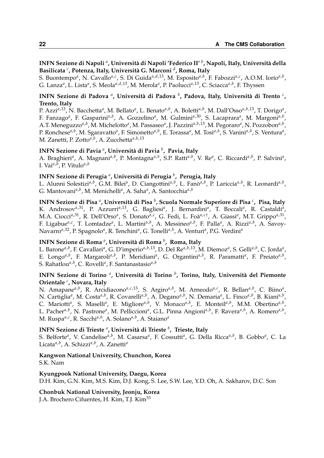## INFN Sezione di Napoli*ª,* Università di Napoli 'Federico II' <sup>b</sup>, Napoli, Italy, Università della **Basilicata** *<sup>c</sup>* **, Potenza, Italy, Universit`a G. Marconi** *<sup>d</sup>* **, Roma, Italy**

S. Buontempo<sup>a</sup>, N. Cavallo<sup>a,c</sup>, S. Di Guida<sup>a,d,13</sup>, M. Esposito<sup>a,b</sup>, F. Fabozzi<sup>a,c</sup>, A.O.M. Iorio<sup>a,b</sup>, G. Lanza<sup>a</sup>, L. Lista<sup>a</sup>, S. Meola<sup>a,d,13</sup>, M. Merola<sup>a</sup>, P. Paolucci<sup>a,13</sup>, C. Sciacca<sup>a,b</sup>, F. Thyssen

## INFN Sezione di Padova <sup>a</sup>, Università di Padova <sup>b</sup>, Padova, Italy, Università di Trento <sup>*c*</sup>, **Trento, Italy**

P. Azzi<sup>a,13</sup>, N. Bacchetta<sup>a</sup>, M. Bellato<sup>a</sup>, L. Benato<sup>a,*b*</sup>, A. Boletti<sup>a,*b*</sup>, M. Dall'Osso<sup>a,b,13</sup>, T. Dorigo<sup>a</sup>, F. Fanzago<sup>a</sup>, F. Gasparini<sup>a,b</sup>, A. Gozzelino<sup>a</sup>, M. Gulmini<sup>a,30</sup>, S. Lacaprara<sup>a</sup>, M. Margoni<sup>a,b</sup>, A.T. Meneguzzo<sup>a,b</sup>, M. Michelotto<sup>a</sup>, M. Passaseo<sup>a</sup>, J. Pazzini<sup>a,b,13</sup>, M. Pegoraro<sup>a</sup>, N. Pozzobon<sup>a,b</sup>, P. Ronchese*a*,*<sup>b</sup>* , M. Sgaravatto*<sup>a</sup>* , F. Simonetto*a*,*<sup>b</sup>* , E. Torassa*<sup>a</sup>* , M. Tosi*a*,*<sup>b</sup>* , S. Vanini*a*,*<sup>b</sup>* , S. Ventura*<sup>a</sup>* , M. Zanetti, P. Zotto*a*,*<sup>b</sup>* , A. Zucchetta*a*,*b*,13

## **INFN Sezione di Pavia** *<sup>a</sup>* **, Universit`a di Pavia** *<sup>b</sup>* **, Pavia, Italy**

A. Braghieri<sup>a</sup>, A. Magnani<sup>a,b</sup>, P. Montagna<sup>a,b</sup>, S.P. Ratti<sup>a,b</sup>, V. Re<sup>a</sup>, C. Riccardi<sup>a,b</sup>, P. Salvini<sup>a</sup>, I. Vai*a*,*<sup>b</sup>* , P. Vitulo*a*,*<sup>b</sup>*

## **INFN Sezione di Perugia** *<sup>a</sup>* **, Universit`a di Perugia** *<sup>b</sup>* **, Perugia, Italy**

L. Alunni Solestizi<sup>a,b</sup>, G.M. Bilei<sup>a</sup>, D. Ciangottini<sup>a,b</sup>, L. Fanò<sup>a,b</sup>, P. Lariccia<sup>a,b</sup>, R. Leonardi<sup>a,b</sup>, G. Mantovani*a*,*<sup>b</sup>* , M. Menichelli*<sup>a</sup>* , A. Saha*<sup>a</sup>* , A. Santocchia*a*,*<sup>b</sup>*

**INFN Sezione di Pisa** *<sup>a</sup>* **, Universit`a di Pisa** *<sup>b</sup>* **, Scuola Normale Superiore di Pisa** *<sup>c</sup>* **, Pisa, Italy** K. Androsov*a*,31, P. Azzurri*a*,13, G. Bagliesi*<sup>a</sup>* , J. Bernardini*<sup>a</sup>* , T. Boccali*<sup>a</sup>* , R. Castaldi*<sup>a</sup>* , M.A. Ciocci<sup>a,31</sup>, R. Dell'Orso<sup>a</sup>, S. Donato<sup>a,c</sup>, G. Fedi, L. Foà<sup>a,c†</sup>, A. Giassi<sup>a</sup>, M.T. Grippo<sup>a,31</sup>, F. Ligabue*a*,*<sup>c</sup>* , T. Lomtadze*<sup>a</sup>* , L. Martini*a*,*<sup>b</sup>* , A. Messineo*a*,*<sup>b</sup>* , F. Palla*<sup>a</sup>* , A. Rizzi*a*,*<sup>b</sup>* , A. Savoy-Navarro<sup>a,32</sup>, P. Spagnolo<sup>a</sup>, R. Tenchini<sup>a</sup>, G. Tonelli<sup>a,b</sup>, A. Venturi<sup>a</sup>, P.G. Verdini<sup>a</sup>

## **INFN Sezione di Roma** *<sup>a</sup>* **, Universit`a di Roma** *<sup>b</sup>* **, Roma, Italy**

L. Barone*a*,*<sup>b</sup>* , F. Cavallari*<sup>a</sup>* , G. D'imperio*a*,*b*,13, D. Del Re*a*,*b*,13, M. Diemoz*<sup>a</sup>* , S. Gelli*a*,*<sup>b</sup>* , C. Jorda*<sup>a</sup>* , E. Longo<sup>a,b</sup>, F. Margaroli<sup>a,b</sup>, P. Meridiani<sup>a</sup>, G. Organtini<sup>a,b</sup>, R. Paramatti<sup>a</sup>, F. Preiato<sup>a,b</sup>, S. Rahatlou*a*,*<sup>b</sup>* , C. Rovelli*<sup>a</sup>* , F. Santanastasio*a*,*<sup>b</sup>*

## INFN Sezione di Torino<sup>a</sup>, Università di Torino<sup>b</sup>, Torino, Italy, Università del Piemonte **Orientale** *<sup>c</sup>* **, Novara, Italy**

N. Amapane*a*,*<sup>b</sup>* , R. Arcidiacono*a*,*c*,13, S. Argiro*a*,*<sup>b</sup>* , M. Arneodo*a*,*<sup>c</sup>* , R. Bellan*a*,*<sup>b</sup>* , C. Biino*<sup>a</sup>* , N. Cartiglia<sup>a</sup>, M. Costa<sup>a,b</sup>, R. Covarelli<sup>a,b</sup>, A. Degano<sup>a,b</sup>, N. Demaria<sup>a</sup>, L. Finco<sup>a,b</sup>, B. Kiani<sup>a,b</sup>, C. Mariotti<sup>a</sup>, S. Maselli<sup>a</sup>, E. Migliore<sup>a,*b*</sup>, V. Monaco<sup>a,*b*</sup>, E. Monteil<sup>a,*b*</sup>, M.M. Obertino<sup>a,*b*</sup>, L. Pacher<sup>a,*b*</sup>, N. Pastrone<sup>a</sup>, M. Pelliccioni<sup>a</sup>, G.L. Pinna Angioni<sup>a,*b*</sup>, F. Ravera<sup>a,*b*</sup>, A. Romero<sup>a,*b*</sup>, M. Ruspa*a*,*<sup>c</sup>* , R. Sacchi*a*,*<sup>b</sup>* , A. Solano*a*,*<sup>b</sup>* , A. Staiano*<sup>a</sup>*

## **INFN Sezione di Trieste** *<sup>a</sup>* **, Universit`a di Trieste** *<sup>b</sup>* **, Trieste, Italy**

S. Belforte*<sup>a</sup>* , V. Candelise*a*,*<sup>b</sup>* , M. Casarsa*<sup>a</sup>* , F. Cossutti*<sup>a</sup>* , G. Della Ricca*a*,*<sup>b</sup>* , B. Gobbo*<sup>a</sup>* , C. La Licata*a*,*<sup>b</sup>* , A. Schizzi*a*,*<sup>b</sup>* , A. Zanetti*<sup>a</sup>*

#### **Kangwon National University, Chunchon, Korea** S.K. Nam

**Kyungpook National University, Daegu, Korea** D.H. Kim, G.N. Kim, M.S. Kim, D.J. Kong, S. Lee, S.W. Lee, Y.D. Oh, A. Sakharov, D.C. Son

#### **Chonbuk National University, Jeonju, Korea**

J.A. Brochero Cifuentes, H. Kim, T.J. Kim<sup>33</sup>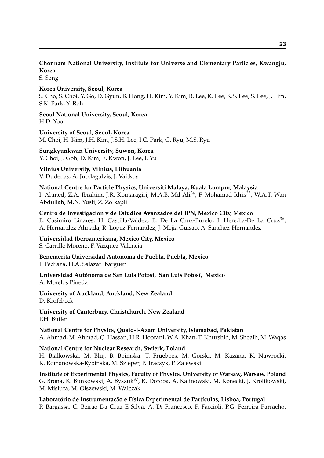## **Chonnam National University, Institute for Universe and Elementary Particles, Kwangju, Korea**

S. Song

#### **Korea University, Seoul, Korea**

S. Cho, S. Choi, Y. Go, D. Gyun, B. Hong, H. Kim, Y. Kim, B. Lee, K. Lee, K.S. Lee, S. Lee, J. Lim, S.K. Park, Y. Roh

#### **Seoul National University, Seoul, Korea** H.D. Yoo

**University of Seoul, Seoul, Korea** M. Choi, H. Kim, J.H. Kim, J.S.H. Lee, I.C. Park, G. Ryu, M.S. Ryu

**Sungkyunkwan University, Suwon, Korea** Y. Choi, J. Goh, D. Kim, E. Kwon, J. Lee, I. Yu

## **Vilnius University, Vilnius, Lithuania**

V. Dudenas, A. Juodagalvis, J. Vaitkus

**National Centre for Particle Physics, Universiti Malaya, Kuala Lumpur, Malaysia** I. Ahmed, Z.A. Ibrahim, J.R. Komaragiri, M.A.B. Md Ali<sup>34</sup>, F. Mohamad Idris<sup>35</sup>, W.A.T. Wan Abdullah, M.N. Yusli, Z. Zolkapli

## **Centro de Investigacion y de Estudios Avanzados del IPN, Mexico City, Mexico** E. Casimiro Linares, H. Castilla-Valdez, E. De La Cruz-Burelo, I. Heredia-De La Cruz<sup>36</sup>, A. Hernandez-Almada, R. Lopez-Fernandez, J. Mejia Guisao, A. Sanchez-Hernandez

**Universidad Iberoamericana, Mexico City, Mexico** S. Carrillo Moreno, F. Vazquez Valencia

**Benemerita Universidad Autonoma de Puebla, Puebla, Mexico** I. Pedraza, H.A. Salazar Ibarguen

**Universidad Autónoma de San Luis Potosí, San Luis Potosí, Mexico** A. Morelos Pineda

**University of Auckland, Auckland, New Zealand** D. Krofcheck

**University of Canterbury, Christchurch, New Zealand** P.H. Butler

**National Centre for Physics, Quaid-I-Azam University, Islamabad, Pakistan** A. Ahmad, M. Ahmad, Q. Hassan, H.R. Hoorani, W.A. Khan, T. Khurshid, M. Shoaib, M. Waqas

## **National Centre for Nuclear Research, Swierk, Poland**

H. Bialkowska, M. Bluj, B. Boimska, T. Frueboes, M. Górski, M. Kazana, K. Nawrocki, K. Romanowska-Rybinska, M. Szleper, P. Traczyk, P. Zalewski

**Institute of Experimental Physics, Faculty of Physics, University of Warsaw, Warsaw, Poland** G. Brona, K. Bunkowski, A. Byszuk<sup>37</sup>, K. Doroba, A. Kalinowski, M. Konecki, J. Krolikowski, M. Misiura, M. Olszewski, M. Walczak

Laboratório de Instrumentação e Física Experimental de Partículas, Lisboa, Portugal P. Bargassa, C. Beirão Da Cruz E Silva, A. Di Francesco, P. Faccioli, P.G. Ferreira Parracho,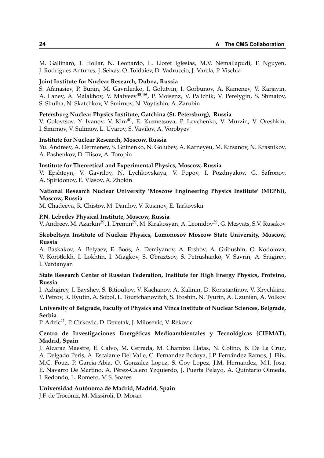M. Gallinaro, J. Hollar, N. Leonardo, L. Lloret Iglesias, M.V. Nemallapudi, F. Nguyen, J. Rodrigues Antunes, J. Seixas, O. Toldaiev, D. Vadruccio, J. Varela, P. Vischia

#### **Joint Institute for Nuclear Research, Dubna, Russia**

S. Afanasiev, P. Bunin, M. Gavrilenko, I. Golutvin, I. Gorbunov, A. Kamenev, V. Karjavin, A. Lanev, A. Malakhov, V. Matveev<sup>38,39</sup>, P. Moisenz, V. Palichik, V. Perelygin, S. Shmatov, S. Shulha, N. Skatchkov, V. Smirnov, N. Voytishin, A. Zarubin

#### **Petersburg Nuclear Physics Institute, Gatchina (St. Petersburg), Russia**

V. Golovtsov, Y. Ivanov, V. Kim<sup>40</sup>, E. Kuznetsova, P. Levchenko, V. Murzin, V. Oreshkin, I. Smirnov, V. Sulimov, L. Uvarov, S. Vavilov, A. Vorobyev

#### **Institute for Nuclear Research, Moscow, Russia**

Yu. Andreev, A. Dermenev, S. Gninenko, N. Golubev, A. Karneyeu, M. Kirsanov, N. Krasnikov, A. Pashenkov, D. Tlisov, A. Toropin

#### **Institute for Theoretical and Experimental Physics, Moscow, Russia**

V. Epshteyn, V. Gavrilov, N. Lychkovskaya, V. Popov, I. Pozdnyakov, G. Safronov, A. Spiridonov, E. Vlasov, A. Zhokin

## **National Research Nuclear University 'Moscow Engineering Physics Institute' (MEPhI), Moscow, Russia**

M. Chadeeva, R. Chistov, M. Danilov, V. Rusinov, E. Tarkovskii

#### **P.N. Lebedev Physical Institute, Moscow, Russia**

V. Andreev, M. Azarkin<sup>39</sup>, I. Dremin<sup>39</sup>, M. Kirakosyan, A. Leonidov<sup>39</sup>, G. Mesyats, S.V. Rusakov

### **Skobeltsyn Institute of Nuclear Physics, Lomonosov Moscow State University, Moscow, Russia**

A. Baskakov, A. Belyaev, E. Boos, A. Demiyanov, A. Ershov, A. Gribushin, O. Kodolova, V. Korotkikh, I. Lokhtin, I. Miagkov, S. Obraztsov, S. Petrushanko, V. Savrin, A. Snigirev, I. Vardanyan

## **State Research Center of Russian Federation, Institute for High Energy Physics, Protvino, Russia**

I. Azhgirey, I. Bayshev, S. Bitioukov, V. Kachanov, A. Kalinin, D. Konstantinov, V. Krychkine, V. Petrov, R. Ryutin, A. Sobol, L. Tourtchanovitch, S. Troshin, N. Tyurin, A. Uzunian, A. Volkov

## **University of Belgrade, Faculty of Physics and Vinca Institute of Nuclear Sciences, Belgrade, Serbia**

P. Adzic41, P. Cirkovic, D. Devetak, J. Milosevic, V. Rekovic

## Centro de Investigaciones Energéticas Medioambientales y Tecnológicas (CIEMAT), **Madrid, Spain**

J. Alcaraz Maestre, E. Calvo, M. Cerrada, M. Chamizo Llatas, N. Colino, B. De La Cruz, A. Delgado Peris, A. Escalante Del Valle, C. Fernandez Bedoya, J.P. Fernández Ramos, J. Flix, M.C. Fouz, P. Garcia-Abia, O. Gonzalez Lopez, S. Goy Lopez, J.M. Hernandez, M.I. Josa, E. Navarro De Martino, A. Pérez-Calero Yzquierdo, J. Puerta Pelayo, A. Quintario Olmeda, I. Redondo, L. Romero, M.S. Soares

#### **Universidad Autónoma de Madrid, Madrid, Spain**

J.F. de Trocóniz, M. Missiroli, D. Moran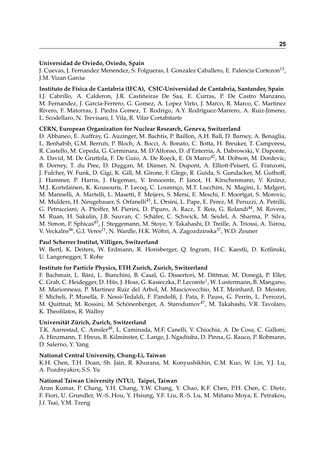#### **Universidad de Oviedo, Oviedo, Spain**

J. Cuevas, J. Fernandez Menendez, S. Folgueras, I. Gonzalez Caballero, E. Palencia Cortezon<sup>13</sup>, J.M. Vizan Garcia

#### Instituto de Física de Cantabria (IFCA), CSIC-Universidad de Cantabria, Santander, Spain

I.J. Cabrillo, A. Calderon, J.R. Castiñeiras De Saa, E. Curras, P. De Castro Manzano, M. Fernandez, J. Garcia-Ferrero, G. Gomez, A. Lopez Virto, J. Marco, R. Marco, C. Martinez Rivero, F. Matorras, J. Piedra Gomez, T. Rodrigo, A.Y. Rodríguez-Marrero, A. Ruiz-Jimeno, L. Scodellaro, N. Trevisani, I. Vila, R. Vilar Cortabitarte

#### **CERN, European Organization for Nuclear Research, Geneva, Switzerland**

D. Abbaneo, E. Auffray, G. Auzinger, M. Bachtis, P. Baillon, A.H. Ball, D. Barney, A. Benaglia, L. Benhabib, G.M. Berruti, P. Bloch, A. Bocci, A. Bonato, C. Botta, H. Breuker, T. Camporesi, R. Castello, M. Cepeda, G. Cerminara, M. D'Alfonso, D. d'Enterria, A. Dabrowski, V. Daponte, A. David, M. De Gruttola, F. De Guio, A. De Roeck, E. Di Marco<sup>42</sup>, M. Dobson, M. Dordevic, B. Dorney, T. du Pree, D. Duggan, M. Dünser, N. Dupont, A. Elliott-Peisert, G. Franzoni, J. Fulcher, W. Funk, D. Gigi, K. Gill, M. Girone, F. Glege, R. Guida, S. Gundacker, M. Guthoff, J. Hammer, P. Harris, J. Hegeman, V. Innocente, P. Janot, H. Kirschenmann, V. Knünz, M.J. Kortelainen, K. Kousouris, P. Lecoq, C. Lourenço, M.T. Lucchini, N. Magini, L. Malgeri, M. Mannelli, A. Martelli, L. Masetti, F. Meijers, S. Mersi, E. Meschi, F. Moortgat, S. Morovic, M. Mulders, H. Neugebauer, S. Orfanelli<sup>43</sup>, L. Orsini, L. Pape, E. Perez, M. Peruzzi, A. Petrilli, G. Petrucciani, A. Pfeiffer, M. Pierini, D. Piparo, A. Racz, T. Reis, G. Rolandi<sup>44</sup>, M. Rovere, M. Ruan, H. Sakulin, J.B. Sauvan, C. Schafer, C. Schwick, M. Seidel, A. Sharma, P. Silva, ¨ M. Simon, P. Sphicas<sup>45</sup>, J. Steggemann, M. Stoye, Y. Takahashi, D. Treille, A. Triossi, A. Tsirou, V. Veckalns<sup>46</sup>, G.I. Veres<sup>21</sup>, N. Wardle, H.K. Wöhri, A. Zagozdzinska<sup>37</sup>, W.D. Zeuner

## **Paul Scherrer Institut, Villigen, Switzerland**

W. Bertl, K. Deiters, W. Erdmann, R. Horisberger, Q. Ingram, H.C. Kaestli, D. Kotlinski, U. Langenegger, T. Rohe

#### **Institute for Particle Physics, ETH Zurich, Zurich, Switzerland**

F. Bachmair, L. Bäni, L. Bianchini, B. Casal, G. Dissertori, M. Dittmar, M. Donegà, P. Eller, C. Grab, C. Heidegger, D. Hits, J. Hoss, G. Kasieczka, P. Lecomte<sup>†</sup>, W. Lustermann, B. Mangano, M. Marionneau, P. Martinez Ruiz del Arbol, M. Masciovecchio, M.T. Meinhard, D. Meister, F. Micheli, P. Musella, F. Nessi-Tedaldi, F. Pandolfi, J. Pata, F. Pauss, G. Perrin, L. Perrozzi, M. Quittnat, M. Rossini, M. Schönenberger, A. Starodumov<sup>47</sup>, M. Takahashi, V.R. Tavolaro, K. Theofilatos, R. Wallny

#### Universität Zürich, Zurich, Switzerland

T.K. Aarrestad, C. Amsler<sup>48</sup>, L. Caminada, M.F. Canelli, V. Chiochia, A. De Cosa, C. Galloni, A. Hinzmann, T. Hreus, B. Kilminster, C. Lange, J. Ngadiuba, D. Pinna, G. Rauco, P. Robmann, D. Salerno, Y. Yang

#### **National Central University, Chung-Li, Taiwan**

K.H. Chen, T.H. Doan, Sh. Jain, R. Khurana, M. Konyushikhin, C.M. Kuo, W. Lin, Y.J. Lu, A. Pozdnyakov, S.S. Yu

#### **National Taiwan University (NTU), Taipei, Taiwan**

Arun Kumar, P. Chang, Y.H. Chang, Y.W. Chang, Y. Chao, K.F. Chen, P.H. Chen, C. Dietz, F. Fiori, U. Grundler, W.-S. Hou, Y. Hsiung, Y.F. Liu, R.-S. Lu, M. Miñano Moya, E. Petrakou, J.f. Tsai, Y.M. Tzeng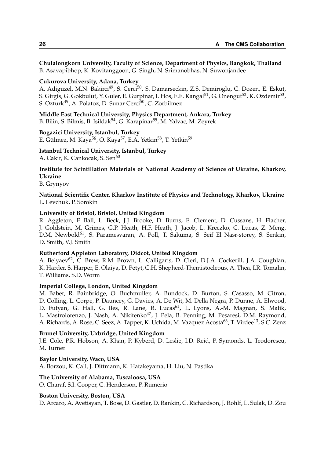#### **Chulalongkorn University, Faculty of Science, Department of Physics, Bangkok, Thailand** B. Asavapibhop, K. Kovitanggoon, G. Singh, N. Srimanobhas, N. Suwonjandee

#### **Cukurova University, Adana, Turkey**

A. Adiguzel, M.N. Bakirci<sup>49</sup>, S. Cerci<sup>50</sup>, S. Damarseckin, Z.S. Demiroglu, C. Dozen, E. Eskut, S. Girgis, G. Gokbulut, Y. Guler, E. Gurpinar, I. Hos, E.E. Kangal<sup>51</sup>, G. Onengut<sup>52</sup>, K. Ozdemir<sup>53</sup>, S. Ozturk<sup>49</sup>, A. Polatoz, D. Sunar Cerci<sup>50</sup>, C. Zorbilmez

#### **Middle East Technical University, Physics Department, Ankara, Turkey**

B. Bilin, S. Bilmis, B. Isildak<sup>54</sup>, G. Karapinar<sup>55</sup>, M. Yalvac, M. Zeyrek

#### **Bogazici University, Istanbul, Turkey**

E. Gülmez, M. Kaya<sup>56</sup>, O. Kaya<sup>57</sup>, E.A. Yetkin<sup>58</sup>, T. Yetkin<sup>59</sup>

**Istanbul Technical University, Istanbul, Turkey** A. Cakir, K. Cankocak, S. Sen<sup>60</sup>

**Institute for Scintillation Materials of National Academy of Science of Ukraine, Kharkov, Ukraine**

B. Grynyov

**National Scientific Center, Kharkov Institute of Physics and Technology, Kharkov, Ukraine** L. Levchuk, P. Sorokin

### **University of Bristol, Bristol, United Kingdom**

R. Aggleton, F. Ball, L. Beck, J.J. Brooke, D. Burns, E. Clement, D. Cussans, H. Flacher, J. Goldstein, M. Grimes, G.P. Heath, H.F. Heath, J. Jacob, L. Kreczko, C. Lucas, Z. Meng, D.M. Newbold<sup>61</sup>, S. Paramesvaran, A. Poll, T. Sakuma, S. Seif El Nasr-storey, S. Senkin, D. Smith, V.J. Smith

#### **Rutherford Appleton Laboratory, Didcot, United Kingdom**

A. Belyaev<sup>62</sup>, C. Brew, R.M. Brown, L. Calligaris, D. Cieri, D.J.A. Cockerill, J.A. Coughlan, K. Harder, S. Harper, E. Olaiya, D. Petyt, C.H. Shepherd-Themistocleous, A. Thea, I.R. Tomalin, T. Williams, S.D. Worm

#### **Imperial College, London, United Kingdom**

M. Baber, R. Bainbridge, O. Buchmuller, A. Bundock, D. Burton, S. Casasso, M. Citron, D. Colling, L. Corpe, P. Dauncey, G. Davies, A. De Wit, M. Della Negra, P. Dunne, A. Elwood, D. Futyan, G. Hall, G. Iles, R. Lane, R. Lucas<sup>61</sup>, L. Lyons, A.-M. Magnan, S. Malik, L. Mastrolorenzo, J. Nash, A. Nikitenko<sup>47</sup>, J. Pela, B. Penning, M. Pesaresi, D.M. Raymond, A. Richards, A. Rose, C. Seez, A. Tapper, K. Uchida, M. Vazquez Acosta<sup>63</sup>, T. Virdee<sup>13</sup>, S.C. Zenz

#### **Brunel University, Uxbridge, United Kingdom**

J.E. Cole, P.R. Hobson, A. Khan, P. Kyberd, D. Leslie, I.D. Reid, P. Symonds, L. Teodorescu, M. Turner

**Baylor University, Waco, USA**

A. Borzou, K. Call, J. Dittmann, K. Hatakeyama, H. Liu, N. Pastika

#### **The University of Alabama, Tuscaloosa, USA**

O. Charaf, S.I. Cooper, C. Henderson, P. Rumerio

#### **Boston University, Boston, USA**

D. Arcaro, A. Avetisyan, T. Bose, D. Gastler, D. Rankin, C. Richardson, J. Rohlf, L. Sulak, D. Zou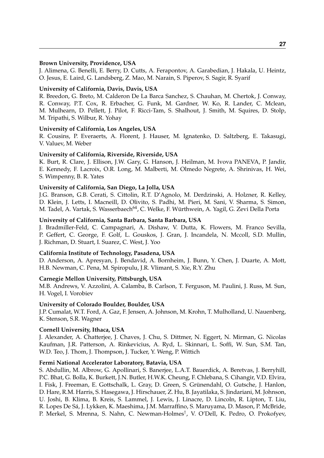#### **Brown University, Providence, USA**

J. Alimena, G. Benelli, E. Berry, D. Cutts, A. Ferapontov, A. Garabedian, J. Hakala, U. Heintz, O. Jesus, E. Laird, G. Landsberg, Z. Mao, M. Narain, S. Piperov, S. Sagir, R. Syarif

#### **University of California, Davis, Davis, USA**

R. Breedon, G. Breto, M. Calderon De La Barca Sanchez, S. Chauhan, M. Chertok, J. Conway, R. Conway, P.T. Cox, R. Erbacher, G. Funk, M. Gardner, W. Ko, R. Lander, C. Mclean, M. Mulhearn, D. Pellett, J. Pilot, F. Ricci-Tam, S. Shalhout, J. Smith, M. Squires, D. Stolp, M. Tripathi, S. Wilbur, R. Yohay

## **University of California, Los Angeles, USA**

R. Cousins, P. Everaerts, A. Florent, J. Hauser, M. Ignatenko, D. Saltzberg, E. Takasugi, V. Valuev, M. Weber

## **University of California, Riverside, Riverside, USA**

K. Burt, R. Clare, J. Ellison, J.W. Gary, G. Hanson, J. Heilman, M. Ivova PANEVA, P. Jandir, E. Kennedy, F. Lacroix, O.R. Long, M. Malberti, M. Olmedo Negrete, A. Shrinivas, H. Wei, S. Wimpenny, B. R. Yates

#### **University of California, San Diego, La Jolla, USA**

J.G. Branson, G.B. Cerati, S. Cittolin, R.T. D'Agnolo, M. Derdzinski, A. Holzner, R. Kelley, D. Klein, J. Letts, I. Macneill, D. Olivito, S. Padhi, M. Pieri, M. Sani, V. Sharma, S. Simon, M. Tadel, A. Vartak, S. Wasserbaech<sup>64</sup>, C. Welke, F. Würthwein, A. Yagil, G. Zevi Della Porta

## **University of California, Santa Barbara, Santa Barbara, USA**

J. Bradmiller-Feld, C. Campagnari, A. Dishaw, V. Dutta, K. Flowers, M. Franco Sevilla, P. Geffert, C. George, F. Golf, L. Gouskos, J. Gran, J. Incandela, N. Mccoll, S.D. Mullin, J. Richman, D. Stuart, I. Suarez, C. West, J. Yoo

#### **California Institute of Technology, Pasadena, USA**

D. Anderson, A. Apresyan, J. Bendavid, A. Bornheim, J. Bunn, Y. Chen, J. Duarte, A. Mott, H.B. Newman, C. Pena, M. Spiropulu, J.R. Vlimant, S. Xie, R.Y. Zhu

#### **Carnegie Mellon University, Pittsburgh, USA**

M.B. Andrews, V. Azzolini, A. Calamba, B. Carlson, T. Ferguson, M. Paulini, J. Russ, M. Sun, H. Vogel, I. Vorobiev

#### **University of Colorado Boulder, Boulder, USA**

J.P. Cumalat, W.T. Ford, A. Gaz, F. Jensen, A. Johnson, M. Krohn, T. Mulholland, U. Nauenberg, K. Stenson, S.R. Wagner

## **Cornell University, Ithaca, USA**

J. Alexander, A. Chatterjee, J. Chaves, J. Chu, S. Dittmer, N. Eggert, N. Mirman, G. Nicolas Kaufman, J.R. Patterson, A. Rinkevicius, A. Ryd, L. Skinnari, L. Soffi, W. Sun, S.M. Tan, W.D. Teo, J. Thom, J. Thompson, J. Tucker, Y. Weng, P. Wittich

#### **Fermi National Accelerator Laboratory, Batavia, USA**

S. Abdullin, M. Albrow, G. Apollinari, S. Banerjee, L.A.T. Bauerdick, A. Beretvas, J. Berryhill, P.C. Bhat, G. Bolla, K. Burkett, J.N. Butler, H.W.K. Cheung, F. Chlebana, S. Cihangir, V.D. Elvira, I. Fisk, J. Freeman, E. Gottschalk, L. Gray, D. Green, S. Grünendahl, O. Gutsche, J. Hanlon, D. Hare, R.M. Harris, S. Hasegawa, J. Hirschauer, Z. Hu, B. Jayatilaka, S. Jindariani, M. Johnson, U. Joshi, B. Klima, B. Kreis, S. Lammel, J. Lewis, J. Linacre, D. Lincoln, R. Lipton, T. Liu, R. Lopes De Sá, J. Lykken, K. Maeshima, J.M. Marraffino, S. Maruyama, D. Mason, P. McBride, P. Merkel, S. Mrenna, S. Nahn, C. Newman-Holmes† , V. O'Dell, K. Pedro, O. Prokofyev,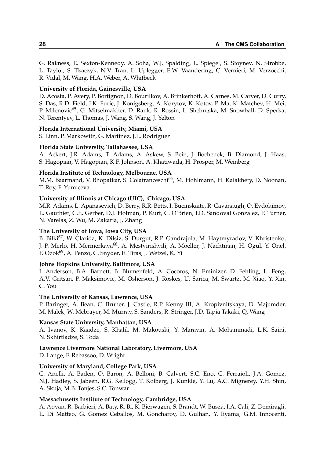G. Rakness, E. Sexton-Kennedy, A. Soha, W.J. Spalding, L. Spiegel, S. Stoynev, N. Strobbe, L. Taylor, S. Tkaczyk, N.V. Tran, L. Uplegger, E.W. Vaandering, C. Vernieri, M. Verzocchi, R. Vidal, M. Wang, H.A. Weber, A. Whitbeck

#### **University of Florida, Gainesville, USA**

D. Acosta, P. Avery, P. Bortignon, D. Bourilkov, A. Brinkerhoff, A. Carnes, M. Carver, D. Curry, S. Das, R.D. Field, I.K. Furic, J. Konigsberg, A. Korytov, K. Kotov, P. Ma, K. Matchev, H. Mei, P. Milenovic<sup>65</sup>, G. Mitselmakher, D. Rank, R. Rossin, L. Shchutska, M. Snowball, D. Sperka, N. Terentyev, L. Thomas, J. Wang, S. Wang, J. Yelton

#### **Florida International University, Miami, USA**

S. Linn, P. Markowitz, G. Martinez, J.L. Rodriguez

#### **Florida State University, Tallahassee, USA**

A. Ackert, J.R. Adams, T. Adams, A. Askew, S. Bein, J. Bochenek, B. Diamond, J. Haas, S. Hagopian, V. Hagopian, K.F. Johnson, A. Khatiwada, H. Prosper, M. Weinberg

#### **Florida Institute of Technology, Melbourne, USA**

M.M. Baarmand, V. Bhopatkar, S. Colafranceschi<sup>66</sup>, M. Hohlmann, H. Kalakhety, D. Noonan, T. Roy, F. Yumiceva

#### **University of Illinois at Chicago (UIC), Chicago, USA**

M.R. Adams, L. Apanasevich, D. Berry, R.R. Betts, I. Bucinskaite, R. Cavanaugh, O. Evdokimov, L. Gauthier, C.E. Gerber, D.J. Hofman, P. Kurt, C. O'Brien, I.D. Sandoval Gonzalez, P. Turner, N. Varelas, Z. Wu, M. Zakaria, J. Zhang

### **The University of Iowa, Iowa City, USA**

B. Bilki<sup>67</sup>, W. Clarida, K. Dilsiz, S. Durgut, R.P. Gandrajula, M. Haytmyradov, V. Khristenko, J.-P. Merlo, H. Mermerkaya<sup>68</sup>, A. Mestvirishvili, A. Moeller, J. Nachtman, H. Ogul, Y. Onel, F. Ozok69, A. Penzo, C. Snyder, E. Tiras, J. Wetzel, K. Yi

#### **Johns Hopkins University, Baltimore, USA**

I. Anderson, B.A. Barnett, B. Blumenfeld, A. Cocoros, N. Eminizer, D. Fehling, L. Feng, A.V. Gritsan, P. Maksimovic, M. Osherson, J. Roskes, U. Sarica, M. Swartz, M. Xiao, Y. Xin, C. You

#### **The University of Kansas, Lawrence, USA**

P. Baringer, A. Bean, C. Bruner, J. Castle, R.P. Kenny III, A. Kropivnitskaya, D. Majumder, M. Malek, W. Mcbrayer, M. Murray, S. Sanders, R. Stringer, J.D. Tapia Takaki, Q. Wang

#### **Kansas State University, Manhattan, USA**

A. Ivanov, K. Kaadze, S. Khalil, M. Makouski, Y. Maravin, A. Mohammadi, L.K. Saini, N. Skhirtladze, S. Toda

**Lawrence Livermore National Laboratory, Livermore, USA**

D. Lange, F. Rebassoo, D. Wright

## **University of Maryland, College Park, USA**

C. Anelli, A. Baden, O. Baron, A. Belloni, B. Calvert, S.C. Eno, C. Ferraioli, J.A. Gomez, N.J. Hadley, S. Jabeen, R.G. Kellogg, T. Kolberg, J. Kunkle, Y. Lu, A.C. Mignerey, Y.H. Shin, A. Skuja, M.B. Tonjes, S.C. Tonwar

#### **Massachusetts Institute of Technology, Cambridge, USA**

A. Apyan, R. Barbieri, A. Baty, R. Bi, K. Bierwagen, S. Brandt, W. Busza, I.A. Cali, Z. Demiragli, L. Di Matteo, G. Gomez Ceballos, M. Goncharov, D. Gulhan, Y. Iiyama, G.M. Innocenti,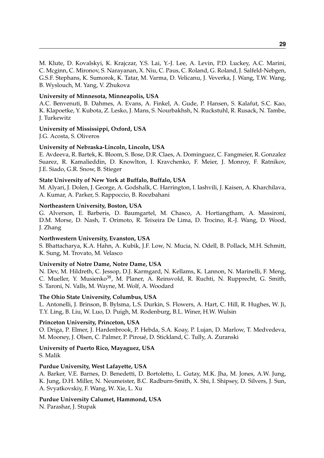M. Klute, D. Kovalskyi, K. Krajczar, Y.S. Lai, Y.-J. Lee, A. Levin, P.D. Luckey, A.C. Marini, C. Mcginn, C. Mironov, S. Narayanan, X. Niu, C. Paus, C. Roland, G. Roland, J. Salfeld-Nebgen, G.S.F. Stephans, K. Sumorok, K. Tatar, M. Varma, D. Velicanu, J. Veverka, J. Wang, T.W. Wang, B. Wyslouch, M. Yang, V. Zhukova

#### **University of Minnesota, Minneapolis, USA**

A.C. Benvenuti, B. Dahmes, A. Evans, A. Finkel, A. Gude, P. Hansen, S. Kalafut, S.C. Kao, K. Klapoetke, Y. Kubota, Z. Lesko, J. Mans, S. Nourbakhsh, N. Ruckstuhl, R. Rusack, N. Tambe, J. Turkewitz

## **University of Mississippi, Oxford, USA**

J.G. Acosta, S. Oliveros

#### **University of Nebraska-Lincoln, Lincoln, USA**

E. Avdeeva, R. Bartek, K. Bloom, S. Bose, D.R. Claes, A. Dominguez, C. Fangmeier, R. Gonzalez Suarez, R. Kamalieddin, D. Knowlton, I. Kravchenko, F. Meier, J. Monroy, F. Ratnikov, J.E. Siado, G.R. Snow, B. Stieger

#### **State University of New York at Buffalo, Buffalo, USA**

M. Alyari, J. Dolen, J. George, A. Godshalk, C. Harrington, I. Iashvili, J. Kaisen, A. Kharchilava, A. Kumar, A. Parker, S. Rappoccio, B. Roozbahani

#### **Northeastern University, Boston, USA**

G. Alverson, E. Barberis, D. Baumgartel, M. Chasco, A. Hortiangtham, A. Massironi, D.M. Morse, D. Nash, T. Orimoto, R. Teixeira De Lima, D. Trocino, R.-J. Wang, D. Wood, J. Zhang

#### **Northwestern University, Evanston, USA**

S. Bhattacharya, K.A. Hahn, A. Kubik, J.F. Low, N. Mucia, N. Odell, B. Pollack, M.H. Schmitt, K. Sung, M. Trovato, M. Velasco

#### **University of Notre Dame, Notre Dame, USA**

N. Dev, M. Hildreth, C. Jessop, D.J. Karmgard, N. Kellams, K. Lannon, N. Marinelli, F. Meng, C. Mueller, Y. Musienko<sup>38</sup>, M. Planer, A. Reinsvold, R. Ruchti, N. Rupprecht, G. Smith, S. Taroni, N. Valls, M. Wayne, M. Wolf, A. Woodard

#### **The Ohio State University, Columbus, USA**

L. Antonelli, J. Brinson, B. Bylsma, L.S. Durkin, S. Flowers, A. Hart, C. Hill, R. Hughes, W. Ji, T.Y. Ling, B. Liu, W. Luo, D. Puigh, M. Rodenburg, B.L. Winer, H.W. Wulsin

#### **Princeton University, Princeton, USA**

O. Driga, P. Elmer, J. Hardenbrook, P. Hebda, S.A. Koay, P. Lujan, D. Marlow, T. Medvedeva, M. Mooney, J. Olsen, C. Palmer, P. Piroué, D. Stickland, C. Tully, A. Zuranski

**University of Puerto Rico, Mayaguez, USA** S. Malik

#### **Purdue University, West Lafayette, USA**

A. Barker, V.E. Barnes, D. Benedetti, D. Bortoletto, L. Gutay, M.K. Jha, M. Jones, A.W. Jung, K. Jung, D.H. Miller, N. Neumeister, B.C. Radburn-Smith, X. Shi, I. Shipsey, D. Silvers, J. Sun, A. Svyatkovskiy, F. Wang, W. Xie, L. Xu

#### **Purdue University Calumet, Hammond, USA**

N. Parashar, J. Stupak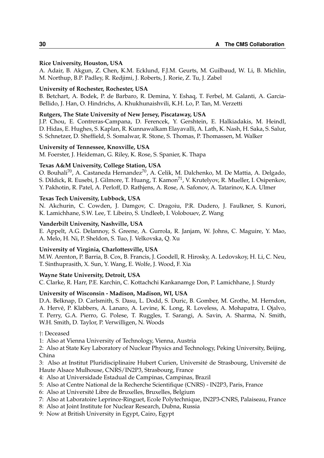#### **Rice University, Houston, USA**

A. Adair, B. Akgun, Z. Chen, K.M. Ecklund, F.J.M. Geurts, M. Guilbaud, W. Li, B. Michlin, M. Northup, B.P. Padley, R. Redjimi, J. Roberts, J. Rorie, Z. Tu, J. Zabel

#### **University of Rochester, Rochester, USA**

B. Betchart, A. Bodek, P. de Barbaro, R. Demina, Y. Eshaq, T. Ferbel, M. Galanti, A. Garcia-Bellido, J. Han, O. Hindrichs, A. Khukhunaishvili, K.H. Lo, P. Tan, M. Verzetti

#### **Rutgers, The State University of New Jersey, Piscataway, USA**

J.P. Chou, E. Contreras-Campana, D. Ferencek, Y. Gershtein, E. Halkiadakis, M. Heindl, D. Hidas, E. Hughes, S. Kaplan, R. Kunnawalkam Elayavalli, A. Lath, K. Nash, H. Saka, S. Salur, S. Schnetzer, D. Sheffield, S. Somalwar, R. Stone, S. Thomas, P. Thomassen, M. Walker

#### **University of Tennessee, Knoxville, USA**

M. Foerster, J. Heideman, G. Riley, K. Rose, S. Spanier, K. Thapa

#### **Texas A&M University, College Station, USA**

O. Bouhali<sup>70</sup>, A. Castaneda Hernandez<sup>70</sup>, A. Celik, M. Dalchenko, M. De Mattia, A. Delgado, S. Dildick, R. Eusebi, J. Gilmore, T. Huang, T. Kamon<sup>71</sup>, V. Krutelyov, R. Mueller, I. Osipenkov, Y. Pakhotin, R. Patel, A. Perloff, D. Rathjens, A. Rose, A. Safonov, A. Tatarinov, K.A. Ulmer

#### **Texas Tech University, Lubbock, USA**

N. Akchurin, C. Cowden, J. Damgov, C. Dragoiu, P.R. Dudero, J. Faulkner, S. Kunori, K. Lamichhane, S.W. Lee, T. Libeiro, S. Undleeb, I. Volobouev, Z. Wang

#### **Vanderbilt University, Nashville, USA**

E. Appelt, A.G. Delannoy, S. Greene, A. Gurrola, R. Janjam, W. Johns, C. Maguire, Y. Mao, A. Melo, H. Ni, P. Sheldon, S. Tuo, J. Velkovska, Q. Xu

#### **University of Virginia, Charlottesville, USA**

M.W. Arenton, P. Barria, B. Cox, B. Francis, J. Goodell, R. Hirosky, A. Ledovskoy, H. Li, C. Neu, T. Sinthuprasith, X. Sun, Y. Wang, E. Wolfe, J. Wood, F. Xia

#### **Wayne State University, Detroit, USA**

C. Clarke, R. Harr, P.E. Karchin, C. Kottachchi Kankanamge Don, P. Lamichhane, J. Sturdy

#### **University of Wisconsin - Madison, Madison, WI, USA**

D.A. Belknap, D. Carlsmith, S. Dasu, L. Dodd, S. Duric, B. Gomber, M. Grothe, M. Herndon, A. Hervé, P. Klabbers, A. Lanaro, A. Levine, K. Long, R. Loveless, A. Mohapatra, I. Ojalvo, T. Perry, G.A. Pierro, G. Polese, T. Ruggles, T. Sarangi, A. Savin, A. Sharma, N. Smith, W.H. Smith, D. Taylor, P. Verwilligen, N. Woods

†: Deceased

1: Also at Vienna University of Technology, Vienna, Austria

2: Also at State Key Laboratory of Nuclear Physics and Technology, Peking University, Beijing, China

3: Also at Institut Pluridisciplinaire Hubert Curien, Université de Strasbourg, Université de Haute Alsace Mulhouse, CNRS/IN2P3, Strasbourg, France

4: Also at Universidade Estadual de Campinas, Campinas, Brazil

- 5: Also at Centre National de la Recherche Scientifique (CNRS) IN2P3, Paris, France
- 6: Also at Université Libre de Bruxelles, Bruxelles, Belgium
- 7: Also at Laboratoire Leprince-Ringuet, Ecole Polytechnique, IN2P3-CNRS, Palaiseau, France
- 8: Also at Joint Institute for Nuclear Research, Dubna, Russia
- 9: Now at British University in Egypt, Cairo, Egypt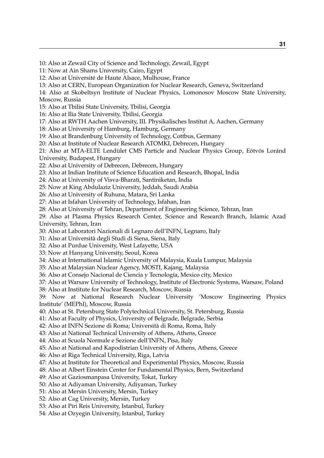10: Also at Zewail City of Science and Technology, Zewail, Egypt

11: Now at Ain Shams University, Cairo, Egypt

12: Also at Université de Haute Alsace, Mulhouse, France

13: Also at CERN, European Organization for Nuclear Research, Geneva, Switzerland

14: Also at Skobeltsyn Institute of Nuclear Physics, Lomonosov Moscow State University, Moscow, Russia

15: Also at Tbilisi State University, Tbilisi, Georgia

16: Also at Ilia State University, Tbilisi, Georgia

17: Also at RWTH Aachen University, III. Physikalisches Institut A, Aachen, Germany

18: Also at University of Hamburg, Hamburg, Germany

19: Also at Brandenburg University of Technology, Cottbus, Germany

20: Also at Institute of Nuclear Research ATOMKI, Debrecen, Hungary

21: Also at MTA-ELTE Lendület CMS Particle and Nuclear Physics Group, Eötvös Loránd University, Budapest, Hungary

22: Also at University of Debrecen, Debrecen, Hungary

23: Also at Indian Institute of Science Education and Research, Bhopal, India

24: Also at University of Visva-Bharati, Santiniketan, India

25: Now at King Abdulaziz University, Jeddah, Saudi Arabia

26: Also at University of Ruhuna, Matara, Sri Lanka

27: Also at Isfahan University of Technology, Isfahan, Iran

28: Also at University of Tehran, Department of Engineering Science, Tehran, Iran

29: Also at Plasma Physics Research Center, Science and Research Branch, Islamic Azad University, Tehran, Iran

30: Also at Laboratori Nazionali di Legnaro dell'INFN, Legnaro, Italy

31: Also at Universita degli Studi di Siena, Siena, Italy `

32: Also at Purdue University, West Lafayette, USA

33: Now at Hanyang University, Seoul, Korea

34: Also at International Islamic University of Malaysia, Kuala Lumpur, Malaysia

35: Also at Malaysian Nuclear Agency, MOSTI, Kajang, Malaysia

36: Also at Consejo Nacional de Ciencia y Tecnología, Mexico city, Mexico

37: Also at Warsaw University of Technology, Institute of Electronic Systems, Warsaw, Poland

38: Also at Institute for Nuclear Research, Moscow, Russia

39: Now at National Research Nuclear University 'Moscow Engineering Physics Institute' (MEPhI), Moscow, Russia

40: Also at St. Petersburg State Polytechnical University, St. Petersburg, Russia

41: Also at Faculty of Physics, University of Belgrade, Belgrade, Serbia

42: Also at INFN Sezione di Roma; Universita di Roma, Roma, Italy `

43: Also at National Technical University of Athens, Athens, Greece

44: Also at Scuola Normale e Sezione dell'INFN, Pisa, Italy

45: Also at National and Kapodistrian University of Athens, Athens, Greece

46: Also at Riga Technical University, Riga, Latvia

47: Also at Institute for Theoretical and Experimental Physics, Moscow, Russia

48: Also at Albert Einstein Center for Fundamental Physics, Bern, Switzerland

49: Also at Gaziosmanpasa University, Tokat, Turkey

50: Also at Adiyaman University, Adiyaman, Turkey

51: Also at Mersin University, Mersin, Turkey

52: Also at Cag University, Mersin, Turkey

53: Also at Piri Reis University, Istanbul, Turkey

54: Also at Ozyegin University, Istanbul, Turkey